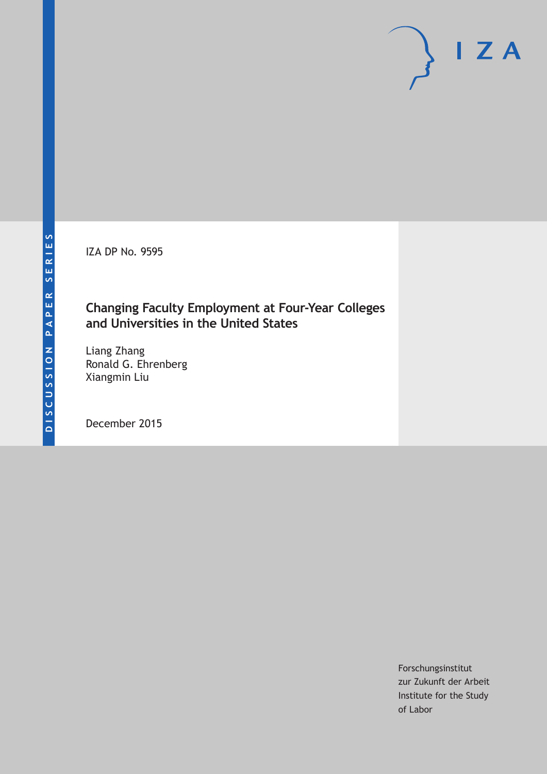IZA DP No. 9595

### **Changing Faculty Employment at Four-Year Colleges and Universities in the United States**

Liang Zhang Ronald G. Ehrenberg Xiangmin Liu

December 2015

Forschungsinstitut zur Zukunft der Arbeit Institute for the Study of Labor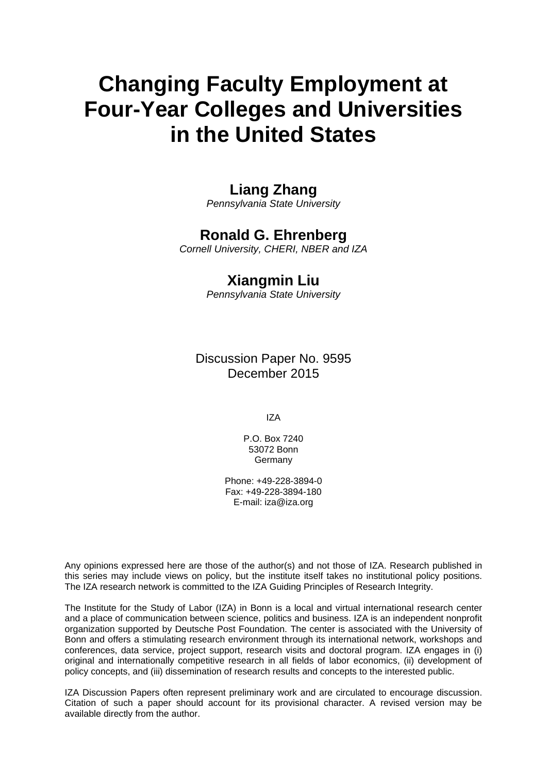# **Changing Faculty Employment at Four-Year Colleges and Universities in the United States**

### **Liang Zhang**

*Pennsylvania State University* 

### **Ronald G. Ehrenberg**

*Cornell University, CHERI, NBER and IZA* 

### **Xiangmin Liu**

*Pennsylvania State University*

Discussion Paper No. 9595 December 2015

IZA

P.O. Box 7240 53072 Bonn **Germany** 

Phone: +49-228-3894-0 Fax: +49-228-3894-180 E-mail: iza@iza.org

Any opinions expressed here are those of the author(s) and not those of IZA. Research published in this series may include views on policy, but the institute itself takes no institutional policy positions. The IZA research network is committed to the IZA Guiding Principles of Research Integrity.

The Institute for the Study of Labor (IZA) in Bonn is a local and virtual international research center and a place of communication between science, politics and business. IZA is an independent nonprofit organization supported by Deutsche Post Foundation. The center is associated with the University of Bonn and offers a stimulating research environment through its international network, workshops and conferences, data service, project support, research visits and doctoral program. IZA engages in (i) original and internationally competitive research in all fields of labor economics, (ii) development of policy concepts, and (iii) dissemination of research results and concepts to the interested public.

IZA Discussion Papers often represent preliminary work and are circulated to encourage discussion. Citation of such a paper should account for its provisional character. A revised version may be available directly from the author.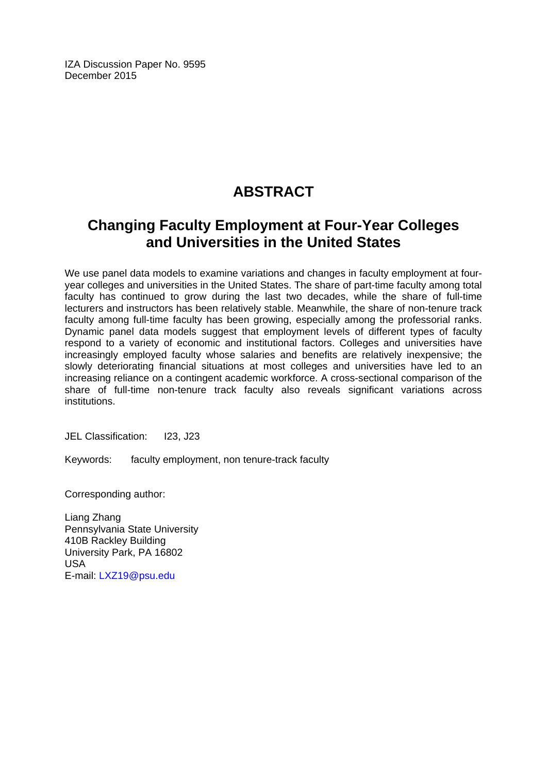IZA Discussion Paper No. 9595 December 2015

## **ABSTRACT**

### **Changing Faculty Employment at Four-Year Colleges and Universities in the United States**

We use panel data models to examine variations and changes in faculty employment at fouryear colleges and universities in the United States. The share of part-time faculty among total faculty has continued to grow during the last two decades, while the share of full-time lecturers and instructors has been relatively stable. Meanwhile, the share of non-tenure track faculty among full-time faculty has been growing, especially among the professorial ranks. Dynamic panel data models suggest that employment levels of different types of faculty respond to a variety of economic and institutional factors. Colleges and universities have increasingly employed faculty whose salaries and benefits are relatively inexpensive; the slowly deteriorating financial situations at most colleges and universities have led to an increasing reliance on a contingent academic workforce. A cross-sectional comparison of the share of full-time non-tenure track faculty also reveals significant variations across institutions.

JEL Classification: I23, J23

Keywords: faculty employment, non tenure-track faculty

Corresponding author:

Liang Zhang Pennsylvania State University 410B Rackley Building University Park, PA 16802 USA E-mail: LXZ19@psu.edu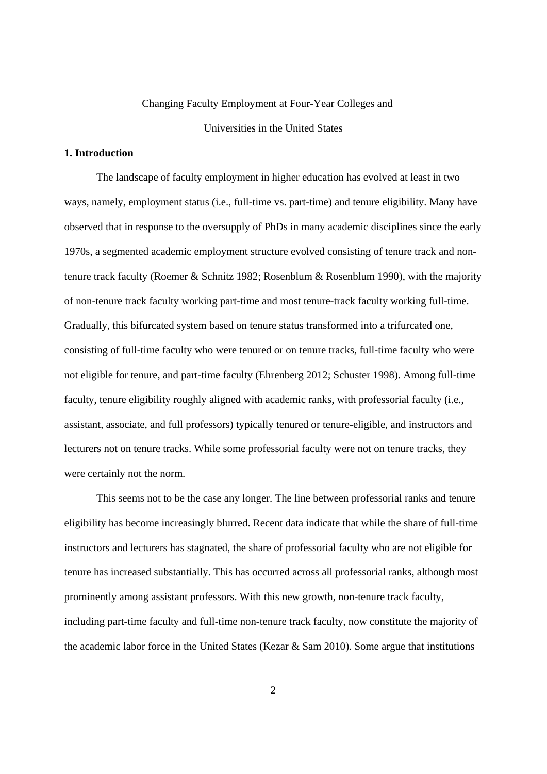#### Changing Faculty Employment at Four-Year Colleges and

Universities in the United States

#### **1. Introduction**

The landscape of faculty employment in higher education has evolved at least in two ways, namely, employment status (i.e., full-time vs. part-time) and tenure eligibility. Many have observed that in response to the oversupply of PhDs in many academic disciplines since the early 1970s, a segmented academic employment structure evolved consisting of tenure track and nontenure track faculty (Roemer & Schnitz 1982; Rosenblum & Rosenblum 1990), with the majority of non-tenure track faculty working part-time and most tenure-track faculty working full-time. Gradually, this bifurcated system based on tenure status transformed into a trifurcated one, consisting of full-time faculty who were tenured or on tenure tracks, full-time faculty who were not eligible for tenure, and part-time faculty (Ehrenberg 2012; Schuster 1998). Among full-time faculty, tenure eligibility roughly aligned with academic ranks, with professorial faculty (i.e., assistant, associate, and full professors) typically tenured or tenure-eligible, and instructors and lecturers not on tenure tracks. While some professorial faculty were not on tenure tracks, they were certainly not the norm.

This seems not to be the case any longer. The line between professorial ranks and tenure eligibility has become increasingly blurred. Recent data indicate that while the share of full-time instructors and lecturers has stagnated, the share of professorial faculty who are not eligible for tenure has increased substantially. This has occurred across all professorial ranks, although most prominently among assistant professors. With this new growth, non-tenure track faculty, including part-time faculty and full-time non-tenure track faculty, now constitute the majority of the academic labor force in the United States (Kezar & Sam 2010). Some argue that institutions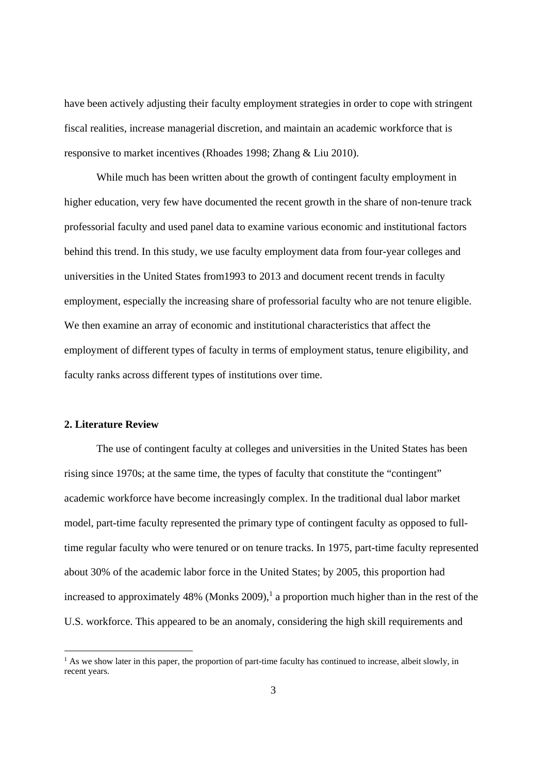have been actively adjusting their faculty employment strategies in order to cope with stringent fiscal realities, increase managerial discretion, and maintain an academic workforce that is responsive to market incentives (Rhoades 1998; Zhang & Liu 2010).

While much has been written about the growth of contingent faculty employment in higher education, very few have documented the recent growth in the share of non-tenure track professorial faculty and used panel data to examine various economic and institutional factors behind this trend. In this study, we use faculty employment data from four-year colleges and universities in the United States from1993 to 2013 and document recent trends in faculty employment, especially the increasing share of professorial faculty who are not tenure eligible. We then examine an array of economic and institutional characteristics that affect the employment of different types of faculty in terms of employment status, tenure eligibility, and faculty ranks across different types of institutions over time.

#### **2. Literature Review**

-

The use of contingent faculty at colleges and universities in the United States has been rising since 1970s; at the same time, the types of faculty that constitute the "contingent" academic workforce have become increasingly complex. In the traditional dual labor market model, part-time faculty represented the primary type of contingent faculty as opposed to fulltime regular faculty who were tenured or on tenure tracks. In 1975, part-time faculty represented about 30% of the academic labor force in the United States; by 2005, this proportion had increased to approximately  $48\%$  (Monks  $2009$ ),<sup>1</sup> a proportion much higher than in the rest of the U.S. workforce. This appeared to be an anomaly, considering the high skill requirements and

<sup>&</sup>lt;sup>1</sup> As we show later in this paper, the proportion of part-time faculty has continued to increase, albeit slowly, in recent years.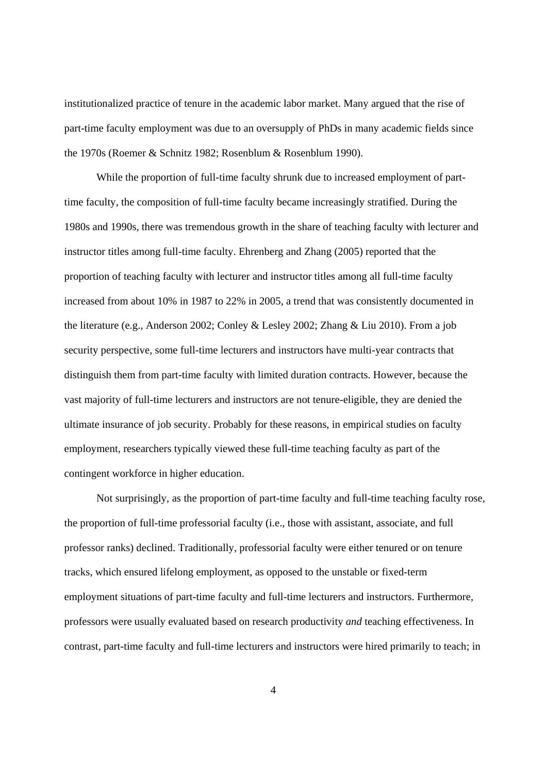institutionalized practice of tenure in the academic labor market. Many argued that the rise of part-time faculty employment was due to an oversupply of PhDs in many academic fields since the 1970s (Roemer & Schnitz 1982; Rosenblum & Rosenblum 1990).

While the proportion of full-time faculty shrunk due to increased employment of parttime faculty, the composition of full-time faculty became increasingly stratified. During the 1980s and 1990s, there was tremendous growth in the share of teaching faculty with lecturer and instructor titles among full-time faculty. Ehrenberg and Zhang (2005) reported that the proportion of teaching faculty with lecturer and instructor titles among all full-time faculty increased from about 10% in 1987 to 22% in 2005, a trend that was consistently documented in the literature (e.g., Anderson 2002; Conley & Lesley 2002; Zhang & Liu 2010). From a job security perspective, some full-time lecturers and instructors have multi-year contracts that distinguish them from part-time faculty with limited duration contracts. However, because the vast majority of full-time lecturers and instructors are not tenure-eligible, they are denied the ultimate insurance of job security. Probably for these reasons, in empirical studies on faculty employment, researchers typically viewed these full-time teaching faculty as part of the contingent workforce in higher education.

Not surprisingly, as the proportion of part-time faculty and full-time teaching faculty rose, the proportion of full-time professorial faculty (i.e., those with assistant, associate, and full professor ranks) declined. Traditionally, professorial faculty were either tenured or on tenure tracks, which ensured lifelong employment, as opposed to the unstable or fixed-term employment situations of part-time faculty and full-time lecturers and instructors. Furthermore, professors were usually evaluated based on research productivity *and* teaching effectiveness. In contrast, part-time faculty and full-time lecturers and instructors were hired primarily to teach; in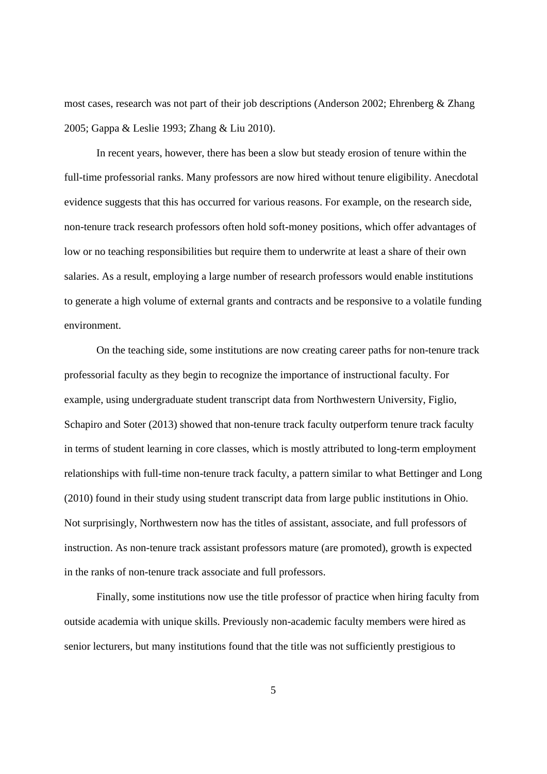most cases, research was not part of their job descriptions (Anderson 2002; Ehrenberg & Zhang 2005; Gappa & Leslie 1993; Zhang & Liu 2010).

In recent years, however, there has been a slow but steady erosion of tenure within the full-time professorial ranks. Many professors are now hired without tenure eligibility. Anecdotal evidence suggests that this has occurred for various reasons. For example, on the research side, non-tenure track research professors often hold soft-money positions, which offer advantages of low or no teaching responsibilities but require them to underwrite at least a share of their own salaries. As a result, employing a large number of research professors would enable institutions to generate a high volume of external grants and contracts and be responsive to a volatile funding environment.

On the teaching side, some institutions are now creating career paths for non-tenure track professorial faculty as they begin to recognize the importance of instructional faculty. For example, using undergraduate student transcript data from Northwestern University, Figlio, Schapiro and Soter (2013) showed that non-tenure track faculty outperform tenure track faculty in terms of student learning in core classes, which is mostly attributed to long-term employment relationships with full-time non-tenure track faculty, a pattern similar to what Bettinger and Long (2010) found in their study using student transcript data from large public institutions in Ohio. Not surprisingly, Northwestern now has the titles of assistant, associate, and full professors of instruction. As non-tenure track assistant professors mature (are promoted), growth is expected in the ranks of non-tenure track associate and full professors.

Finally, some institutions now use the title professor of practice when hiring faculty from outside academia with unique skills. Previously non-academic faculty members were hired as senior lecturers, but many institutions found that the title was not sufficiently prestigious to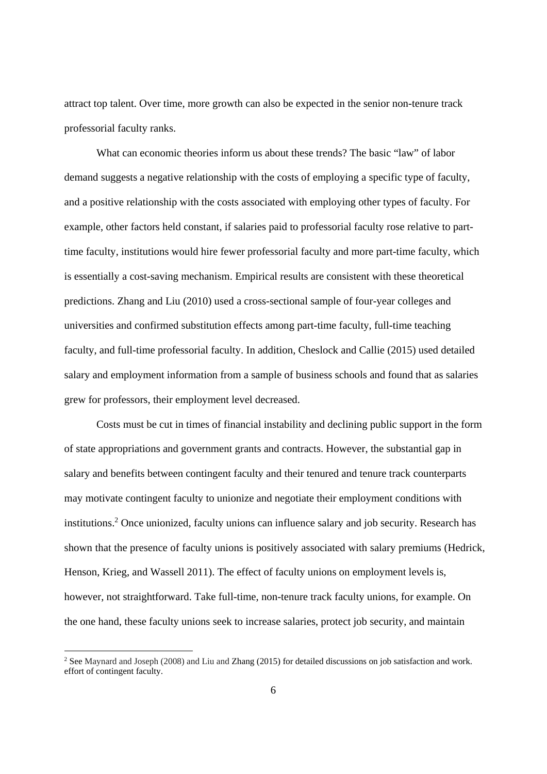attract top talent. Over time, more growth can also be expected in the senior non-tenure track professorial faculty ranks.

What can economic theories inform us about these trends? The basic "law" of labor demand suggests a negative relationship with the costs of employing a specific type of faculty, and a positive relationship with the costs associated with employing other types of faculty. For example, other factors held constant, if salaries paid to professorial faculty rose relative to parttime faculty, institutions would hire fewer professorial faculty and more part-time faculty, which is essentially a cost-saving mechanism. Empirical results are consistent with these theoretical predictions. Zhang and Liu (2010) used a cross-sectional sample of four-year colleges and universities and confirmed substitution effects among part-time faculty, full-time teaching faculty, and full-time professorial faculty. In addition, Cheslock and Callie (2015) used detailed salary and employment information from a sample of business schools and found that as salaries grew for professors, their employment level decreased.

Costs must be cut in times of financial instability and declining public support in the form of state appropriations and government grants and contracts. However, the substantial gap in salary and benefits between contingent faculty and their tenured and tenure track counterparts may motivate contingent faculty to unionize and negotiate their employment conditions with institutions.<sup>2</sup> Once unionized, faculty unions can influence salary and job security. Research has shown that the presence of faculty unions is positively associated with salary premiums (Hedrick, Henson, Krieg, and Wassell 2011). The effect of faculty unions on employment levels is, however, not straightforward. Take full-time, non-tenure track faculty unions, for example. On the one hand, these faculty unions seek to increase salaries, protect job security, and maintain

-

<sup>&</sup>lt;sup>2</sup> See Maynard and Joseph (2008) and Liu and Zhang (2015) for detailed discussions on job satisfaction and work. effort of contingent faculty.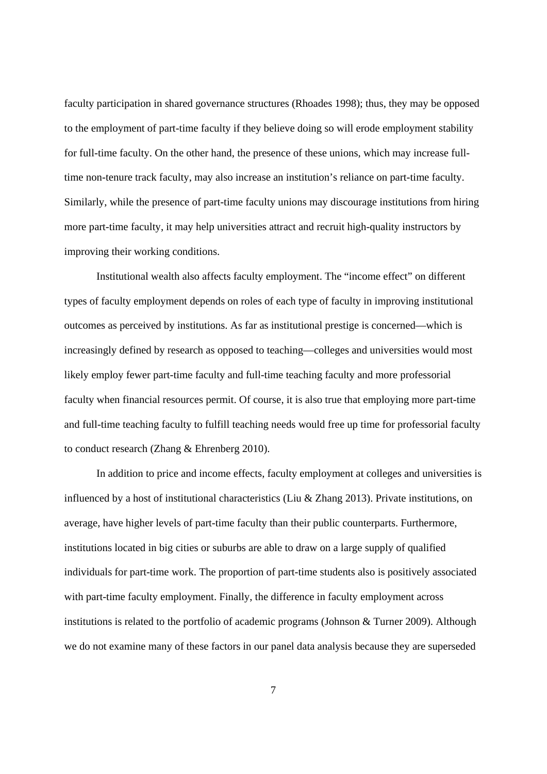faculty participation in shared governance structures (Rhoades 1998); thus, they may be opposed to the employment of part-time faculty if they believe doing so will erode employment stability for full-time faculty. On the other hand, the presence of these unions, which may increase fulltime non-tenure track faculty, may also increase an institution's reliance on part-time faculty. Similarly, while the presence of part-time faculty unions may discourage institutions from hiring more part-time faculty, it may help universities attract and recruit high-quality instructors by improving their working conditions.

Institutional wealth also affects faculty employment. The "income effect" on different types of faculty employment depends on roles of each type of faculty in improving institutional outcomes as perceived by institutions. As far as institutional prestige is concerned—which is increasingly defined by research as opposed to teaching—colleges and universities would most likely employ fewer part-time faculty and full-time teaching faculty and more professorial faculty when financial resources permit. Of course, it is also true that employing more part-time and full-time teaching faculty to fulfill teaching needs would free up time for professorial faculty to conduct research (Zhang & Ehrenberg 2010).

In addition to price and income effects, faculty employment at colleges and universities is influenced by a host of institutional characteristics (Liu & Zhang 2013). Private institutions, on average, have higher levels of part-time faculty than their public counterparts. Furthermore, institutions located in big cities or suburbs are able to draw on a large supply of qualified individuals for part-time work. The proportion of part-time students also is positively associated with part-time faculty employment. Finally, the difference in faculty employment across institutions is related to the portfolio of academic programs (Johnson & Turner 2009). Although we do not examine many of these factors in our panel data analysis because they are superseded

7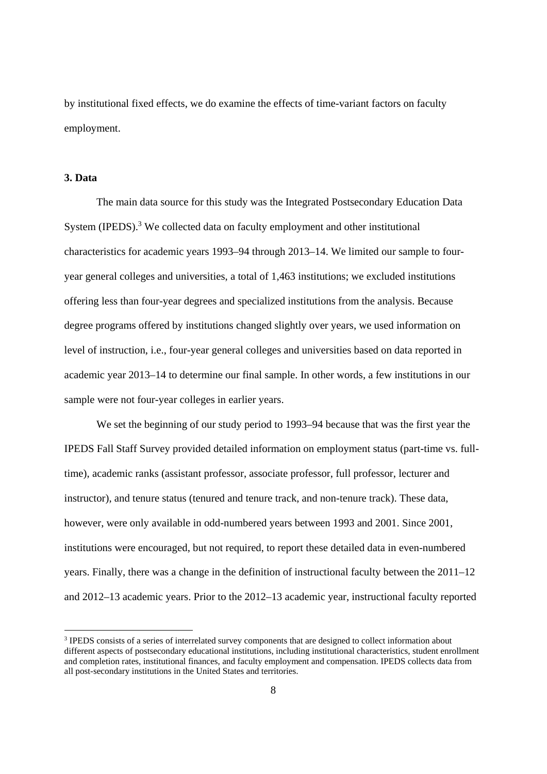by institutional fixed effects, we do examine the effects of time-variant factors on faculty employment.

#### **3. Data**

-

The main data source for this study was the Integrated Postsecondary Education Data System (IPEDS). $3$  We collected data on faculty employment and other institutional characteristics for academic years 1993–94 through 2013–14. We limited our sample to fouryear general colleges and universities, a total of 1,463 institutions; we excluded institutions offering less than four-year degrees and specialized institutions from the analysis. Because degree programs offered by institutions changed slightly over years, we used information on level of instruction, i.e., four-year general colleges and universities based on data reported in academic year 2013–14 to determine our final sample. In other words, a few institutions in our sample were not four-year colleges in earlier years.

We set the beginning of our study period to 1993–94 because that was the first year the IPEDS Fall Staff Survey provided detailed information on employment status (part-time vs. fulltime), academic ranks (assistant professor, associate professor, full professor, lecturer and instructor), and tenure status (tenured and tenure track, and non-tenure track). These data, however, were only available in odd-numbered years between 1993 and 2001. Since 2001, institutions were encouraged, but not required, to report these detailed data in even-numbered years. Finally, there was a change in the definition of instructional faculty between the 2011–12 and 2012–13 academic years. Prior to the 2012–13 academic year, instructional faculty reported

<sup>&</sup>lt;sup>3</sup> IPEDS consists of a series of interrelated survey components that are designed to collect information about different aspects of postsecondary educational institutions, including institutional characteristics, student enrollment and completion rates, institutional finances, and faculty employment and compensation. IPEDS collects data from all post-secondary institutions in the United States and territories.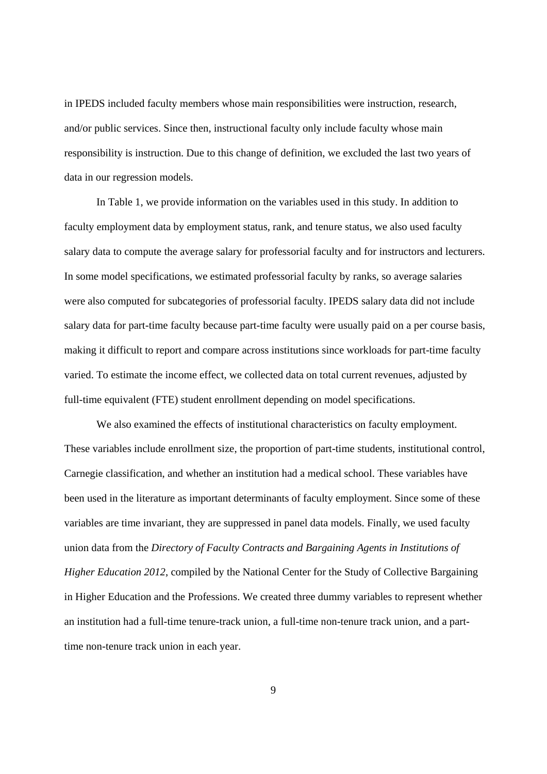in IPEDS included faculty members whose main responsibilities were instruction, research, and/or public services. Since then, instructional faculty only include faculty whose main responsibility is instruction. Due to this change of definition, we excluded the last two years of data in our regression models.

In Table 1, we provide information on the variables used in this study. In addition to faculty employment data by employment status, rank, and tenure status, we also used faculty salary data to compute the average salary for professorial faculty and for instructors and lecturers. In some model specifications, we estimated professorial faculty by ranks, so average salaries were also computed for subcategories of professorial faculty. IPEDS salary data did not include salary data for part-time faculty because part-time faculty were usually paid on a per course basis, making it difficult to report and compare across institutions since workloads for part-time faculty varied. To estimate the income effect, we collected data on total current revenues, adjusted by full-time equivalent (FTE) student enrollment depending on model specifications.

We also examined the effects of institutional characteristics on faculty employment. These variables include enrollment size, the proportion of part-time students, institutional control, Carnegie classification, and whether an institution had a medical school. These variables have been used in the literature as important determinants of faculty employment. Since some of these variables are time invariant, they are suppressed in panel data models. Finally, we used faculty union data from the *Directory of Faculty Contracts and Bargaining Agents in Institutions of Higher Education 2012*, compiled by the National Center for the Study of Collective Bargaining in Higher Education and the Professions. We created three dummy variables to represent whether an institution had a full-time tenure-track union, a full-time non-tenure track union, and a parttime non-tenure track union in each year.

9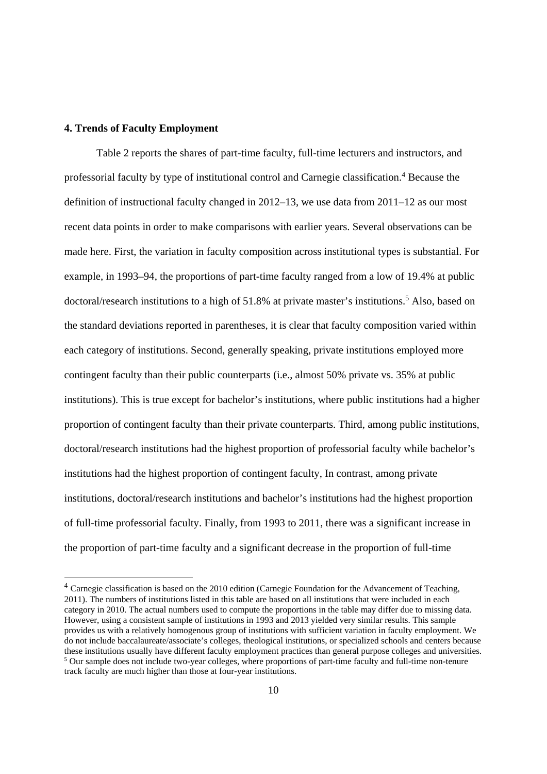#### **4. Trends of Faculty Employment**

-

Table 2 reports the shares of part-time faculty, full-time lecturers and instructors, and professorial faculty by type of institutional control and Carnegie classification.<sup>4</sup> Because the definition of instructional faculty changed in 2012–13, we use data from 2011–12 as our most recent data points in order to make comparisons with earlier years. Several observations can be made here. First, the variation in faculty composition across institutional types is substantial. For example, in 1993–94, the proportions of part-time faculty ranged from a low of 19.4% at public doctoral/research institutions to a high of 51.8% at private master's institutions.<sup>5</sup> Also, based on the standard deviations reported in parentheses, it is clear that faculty composition varied within each category of institutions. Second, generally speaking, private institutions employed more contingent faculty than their public counterparts (i.e., almost 50% private vs. 35% at public institutions). This is true except for bachelor's institutions, where public institutions had a higher proportion of contingent faculty than their private counterparts. Third, among public institutions, doctoral/research institutions had the highest proportion of professorial faculty while bachelor's institutions had the highest proportion of contingent faculty, In contrast, among private institutions, doctoral/research institutions and bachelor's institutions had the highest proportion of full-time professorial faculty. Finally, from 1993 to 2011, there was a significant increase in the proportion of part-time faculty and a significant decrease in the proportion of full-time

<sup>4</sup> Carnegie classification is based on the 2010 edition (Carnegie Foundation for the Advancement of Teaching, 2011). The numbers of institutions listed in this table are based on all institutions that were included in each category in 2010. The actual numbers used to compute the proportions in the table may differ due to missing data. However, using a consistent sample of institutions in 1993 and 2013 yielded very similar results. This sample provides us with a relatively homogenous group of institutions with sufficient variation in faculty employment. We do not include baccalaureate/associate's colleges, theological institutions, or specialized schools and centers because these institutions usually have different faculty employment practices than general purpose colleges and universities. <sup>5</sup> Our sample does not include two-year colleges, where proportions of part-time faculty and full-time non-tenure track faculty are much higher than those at four-year institutions.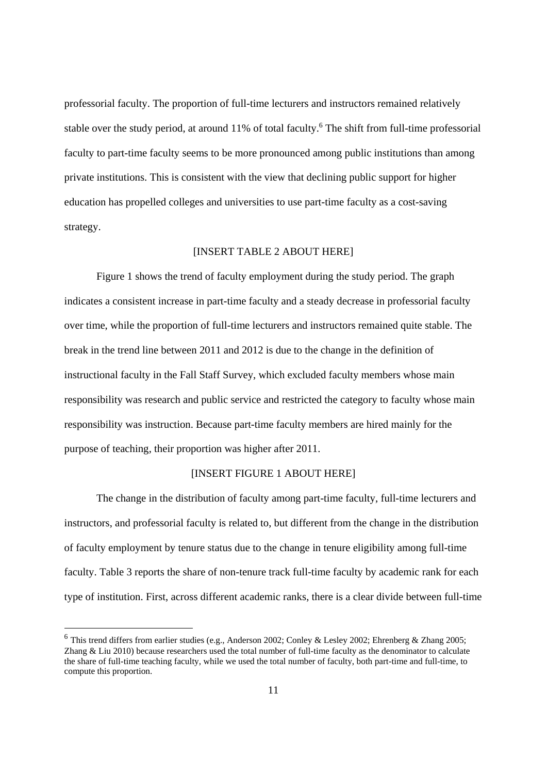professorial faculty. The proportion of full-time lecturers and instructors remained relatively stable over the study period, at around 11% of total faculty.<sup>6</sup> The shift from full-time professorial faculty to part-time faculty seems to be more pronounced among public institutions than among private institutions. This is consistent with the view that declining public support for higher education has propelled colleges and universities to use part-time faculty as a cost-saving strategy.

#### [INSERT TABLE 2 ABOUT HERE]

 Figure 1 shows the trend of faculty employment during the study period. The graph indicates a consistent increase in part-time faculty and a steady decrease in professorial faculty over time, while the proportion of full-time lecturers and instructors remained quite stable. The break in the trend line between 2011 and 2012 is due to the change in the definition of instructional faculty in the Fall Staff Survey, which excluded faculty members whose main responsibility was research and public service and restricted the category to faculty whose main responsibility was instruction. Because part-time faculty members are hired mainly for the purpose of teaching, their proportion was higher after 2011.

#### [INSERT FIGURE 1 ABOUT HERE]

The change in the distribution of faculty among part-time faculty, full-time lecturers and instructors, and professorial faculty is related to, but different from the change in the distribution of faculty employment by tenure status due to the change in tenure eligibility among full-time faculty. Table 3 reports the share of non-tenure track full-time faculty by academic rank for each type of institution. First, across different academic ranks, there is a clear divide between full-time

-

<sup>6</sup> This trend differs from earlier studies (e.g., Anderson 2002; Conley & Lesley 2002; Ehrenberg & Zhang 2005; Zhang & Liu 2010) because researchers used the total number of full-time faculty as the denominator to calculate the share of full-time teaching faculty, while we used the total number of faculty, both part-time and full-time, to compute this proportion.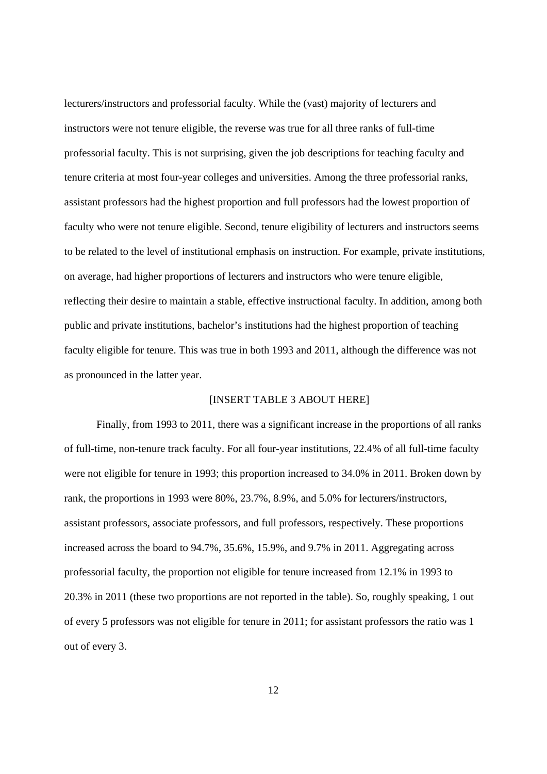lecturers/instructors and professorial faculty. While the (vast) majority of lecturers and instructors were not tenure eligible, the reverse was true for all three ranks of full-time professorial faculty. This is not surprising, given the job descriptions for teaching faculty and tenure criteria at most four-year colleges and universities. Among the three professorial ranks, assistant professors had the highest proportion and full professors had the lowest proportion of faculty who were not tenure eligible. Second, tenure eligibility of lecturers and instructors seems to be related to the level of institutional emphasis on instruction. For example, private institutions, on average, had higher proportions of lecturers and instructors who were tenure eligible, reflecting their desire to maintain a stable, effective instructional faculty. In addition, among both public and private institutions, bachelor's institutions had the highest proportion of teaching faculty eligible for tenure. This was true in both 1993 and 2011, although the difference was not as pronounced in the latter year.

#### [INSERT TABLE 3 ABOUT HERE]

Finally, from 1993 to 2011, there was a significant increase in the proportions of all ranks of full-time, non-tenure track faculty. For all four-year institutions, 22.4% of all full-time faculty were not eligible for tenure in 1993; this proportion increased to 34.0% in 2011. Broken down by rank, the proportions in 1993 were 80%, 23.7%, 8.9%, and 5.0% for lecturers/instructors, assistant professors, associate professors, and full professors, respectively. These proportions increased across the board to 94.7%, 35.6%, 15.9%, and 9.7% in 2011. Aggregating across professorial faculty, the proportion not eligible for tenure increased from 12.1% in 1993 to 20.3% in 2011 (these two proportions are not reported in the table). So, roughly speaking, 1 out of every 5 professors was not eligible for tenure in 2011; for assistant professors the ratio was 1 out of every 3.

12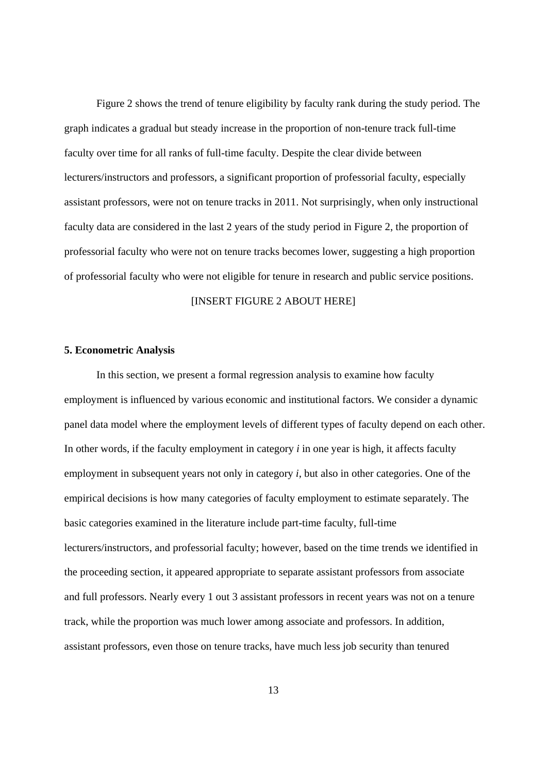Figure 2 shows the trend of tenure eligibility by faculty rank during the study period. The graph indicates a gradual but steady increase in the proportion of non-tenure track full-time faculty over time for all ranks of full-time faculty. Despite the clear divide between lecturers/instructors and professors, a significant proportion of professorial faculty, especially assistant professors, were not on tenure tracks in 2011. Not surprisingly, when only instructional faculty data are considered in the last 2 years of the study period in Figure 2, the proportion of professorial faculty who were not on tenure tracks becomes lower, suggesting a high proportion of professorial faculty who were not eligible for tenure in research and public service positions.

#### [INSERT FIGURE 2 ABOUT HERE]

#### **5. Econometric Analysis**

In this section, we present a formal regression analysis to examine how faculty employment is influenced by various economic and institutional factors. We consider a dynamic panel data model where the employment levels of different types of faculty depend on each other. In other words, if the faculty employment in category *i* in one year is high, it affects faculty employment in subsequent years not only in category *i*, but also in other categories. One of the empirical decisions is how many categories of faculty employment to estimate separately. The basic categories examined in the literature include part-time faculty, full-time lecturers/instructors, and professorial faculty; however, based on the time trends we identified in the proceeding section, it appeared appropriate to separate assistant professors from associate and full professors. Nearly every 1 out 3 assistant professors in recent years was not on a tenure track, while the proportion was much lower among associate and professors. In addition, assistant professors, even those on tenure tracks, have much less job security than tenured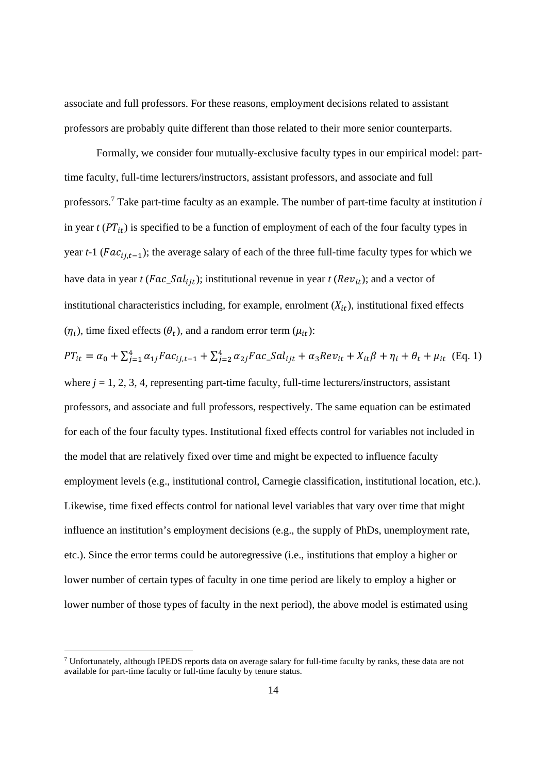associate and full professors. For these reasons, employment decisions related to assistant professors are probably quite different than those related to their more senior counterparts.

Formally, we consider four mutually-exclusive faculty types in our empirical model: parttime faculty, full-time lecturers/instructors, assistant professors, and associate and full professors.7 Take part-time faculty as an example. The number of part-time faculty at institution *i* in year  $t$  ( $PT_{it}$ ) is specified to be a function of employment of each of the four faculty types in year  $t-1$  ( $Fac<sub>ij,t-1</sub>$ ); the average salary of each of the three full-time faculty types for which we have data in year *t* ( $Fac\_Sal_{ijt}$ ); institutional revenue in year *t* ( $Rev_{it}$ ); and a vector of institutional characteristics including, for example, enrolment  $(X_{it})$ , institutional fixed effects  $(\eta_i)$ , time fixed effects  $(\theta_t)$ , and a random error term  $(\mu_{it})$ :

 $PT_{it} = \alpha_0 + \sum_{j=1}^{4} \alpha_{1j} Fa c_{ij,t-1} + \sum_{j=2}^{4} \alpha_{2j} Fa c_{j,t} + \alpha_3 Rev_{it} + X_{it} \beta + \eta_i + \theta_t + \mu_{it}$  (Eq. 1) where  $j = 1, 2, 3, 4$ , representing part-time faculty, full-time lecturers/instructors, assistant professors, and associate and full professors, respectively. The same equation can be estimated for each of the four faculty types. Institutional fixed effects control for variables not included in the model that are relatively fixed over time and might be expected to influence faculty employment levels (e.g., institutional control, Carnegie classification, institutional location, etc.). Likewise, time fixed effects control for national level variables that vary over time that might influence an institution's employment decisions (e.g., the supply of PhDs, unemployment rate, etc.). Since the error terms could be autoregressive (i.e., institutions that employ a higher or lower number of certain types of faculty in one time period are likely to employ a higher or lower number of those types of faculty in the next period), the above model is estimated using

-

<sup>&</sup>lt;sup>7</sup> Unfortunately, although IPEDS reports data on average salary for full-time faculty by ranks, these data are not available for part-time faculty or full-time faculty by tenure status.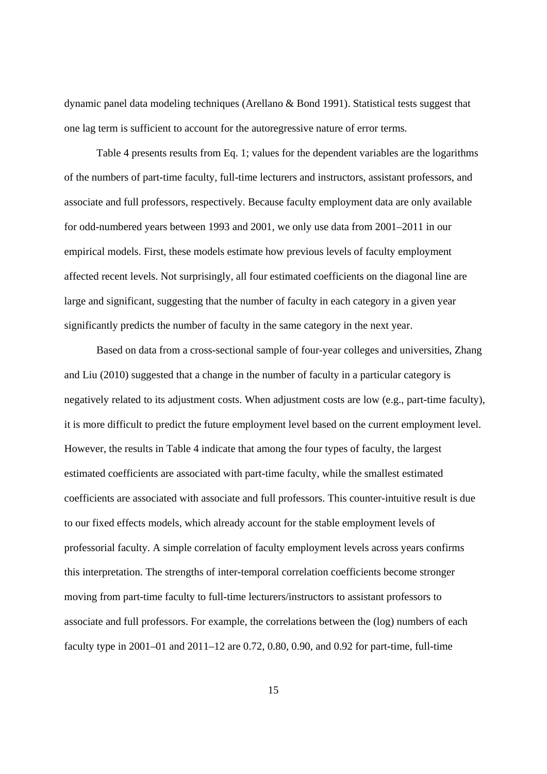dynamic panel data modeling techniques (Arellano & Bond 1991). Statistical tests suggest that one lag term is sufficient to account for the autoregressive nature of error terms.

 Table 4 presents results from Eq. 1; values for the dependent variables are the logarithms of the numbers of part-time faculty, full-time lecturers and instructors, assistant professors, and associate and full professors, respectively. Because faculty employment data are only available for odd-numbered years between 1993 and 2001, we only use data from 2001–2011 in our empirical models. First, these models estimate how previous levels of faculty employment affected recent levels. Not surprisingly, all four estimated coefficients on the diagonal line are large and significant, suggesting that the number of faculty in each category in a given year significantly predicts the number of faculty in the same category in the next year.

Based on data from a cross-sectional sample of four-year colleges and universities, Zhang and Liu (2010) suggested that a change in the number of faculty in a particular category is negatively related to its adjustment costs. When adjustment costs are low (e.g., part-time faculty), it is more difficult to predict the future employment level based on the current employment level. However, the results in Table 4 indicate that among the four types of faculty, the largest estimated coefficients are associated with part-time faculty, while the smallest estimated coefficients are associated with associate and full professors. This counter-intuitive result is due to our fixed effects models, which already account for the stable employment levels of professorial faculty. A simple correlation of faculty employment levels across years confirms this interpretation. The strengths of inter-temporal correlation coefficients become stronger moving from part-time faculty to full-time lecturers/instructors to assistant professors to associate and full professors. For example, the correlations between the (log) numbers of each faculty type in 2001–01 and 2011–12 are 0.72, 0.80, 0.90, and 0.92 for part-time, full-time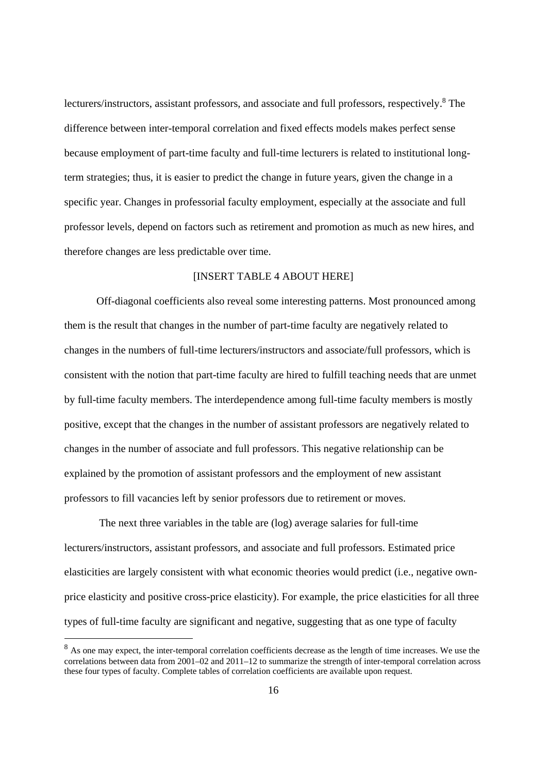lecturers/instructors, assistant professors, and associate and full professors, respectively.<sup>8</sup> The difference between inter-temporal correlation and fixed effects models makes perfect sense because employment of part-time faculty and full-time lecturers is related to institutional longterm strategies; thus, it is easier to predict the change in future years, given the change in a specific year. Changes in professorial faculty employment, especially at the associate and full professor levels, depend on factors such as retirement and promotion as much as new hires, and therefore changes are less predictable over time.

### [INSERT TABLE 4 ABOUT HERE]

 Off-diagonal coefficients also reveal some interesting patterns. Most pronounced among them is the result that changes in the number of part-time faculty are negatively related to changes in the numbers of full-time lecturers/instructors and associate/full professors, which is consistent with the notion that part-time faculty are hired to fulfill teaching needs that are unmet by full-time faculty members. The interdependence among full-time faculty members is mostly positive, except that the changes in the number of assistant professors are negatively related to changes in the number of associate and full professors. This negative relationship can be explained by the promotion of assistant professors and the employment of new assistant professors to fill vacancies left by senior professors due to retirement or moves.

 The next three variables in the table are (log) average salaries for full-time lecturers/instructors, assistant professors, and associate and full professors. Estimated price elasticities are largely consistent with what economic theories would predict (i.e., negative ownprice elasticity and positive cross-price elasticity). For example, the price elasticities for all three types of full-time faculty are significant and negative, suggesting that as one type of faculty

-

<sup>&</sup>lt;sup>8</sup> As one may expect, the inter-temporal correlation coefficients decrease as the length of time increases. We use the correlations between data from 2001–02 and 2011–12 to summarize the strength of inter-temporal correlation across these four types of faculty. Complete tables of correlation coefficients are available upon request.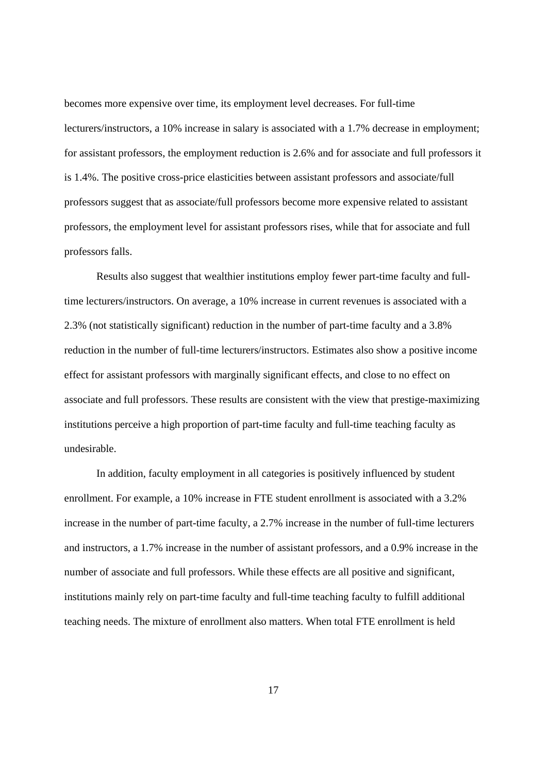becomes more expensive over time, its employment level decreases. For full-time lecturers/instructors, a 10% increase in salary is associated with a 1.7% decrease in employment; for assistant professors, the employment reduction is 2.6% and for associate and full professors it is 1.4%. The positive cross-price elasticities between assistant professors and associate/full professors suggest that as associate/full professors become more expensive related to assistant professors, the employment level for assistant professors rises, while that for associate and full professors falls.

 Results also suggest that wealthier institutions employ fewer part-time faculty and fulltime lecturers/instructors. On average, a 10% increase in current revenues is associated with a 2.3% (not statistically significant) reduction in the number of part-time faculty and a 3.8% reduction in the number of full-time lecturers/instructors. Estimates also show a positive income effect for assistant professors with marginally significant effects, and close to no effect on associate and full professors. These results are consistent with the view that prestige-maximizing institutions perceive a high proportion of part-time faculty and full-time teaching faculty as undesirable.

 In addition, faculty employment in all categories is positively influenced by student enrollment. For example, a 10% increase in FTE student enrollment is associated with a 3.2% increase in the number of part-time faculty, a 2.7% increase in the number of full-time lecturers and instructors, a 1.7% increase in the number of assistant professors, and a 0.9% increase in the number of associate and full professors. While these effects are all positive and significant, institutions mainly rely on part-time faculty and full-time teaching faculty to fulfill additional teaching needs. The mixture of enrollment also matters. When total FTE enrollment is held

17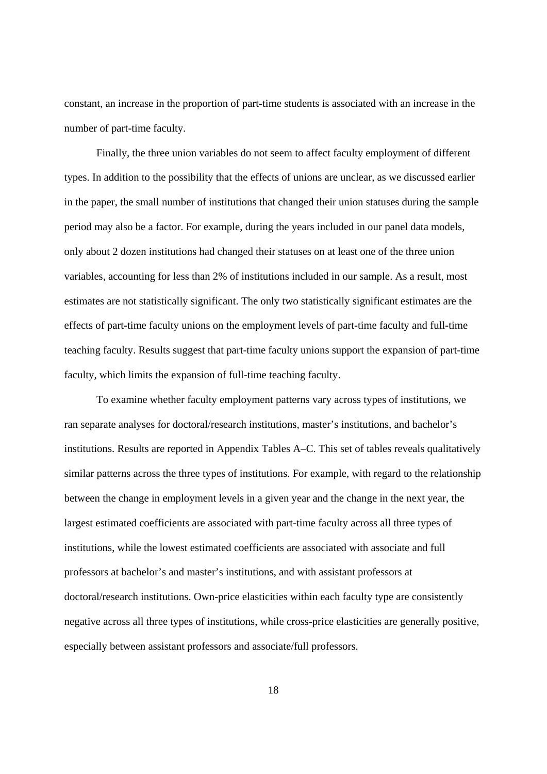constant, an increase in the proportion of part-time students is associated with an increase in the number of part-time faculty.

 Finally, the three union variables do not seem to affect faculty employment of different types. In addition to the possibility that the effects of unions are unclear, as we discussed earlier in the paper, the small number of institutions that changed their union statuses during the sample period may also be a factor. For example, during the years included in our panel data models, only about 2 dozen institutions had changed their statuses on at least one of the three union variables, accounting for less than 2% of institutions included in our sample. As a result, most estimates are not statistically significant. The only two statistically significant estimates are the effects of part-time faculty unions on the employment levels of part-time faculty and full-time teaching faculty. Results suggest that part-time faculty unions support the expansion of part-time faculty, which limits the expansion of full-time teaching faculty.

 To examine whether faculty employment patterns vary across types of institutions, we ran separate analyses for doctoral/research institutions, master's institutions, and bachelor's institutions. Results are reported in Appendix Tables A–C. This set of tables reveals qualitatively similar patterns across the three types of institutions. For example, with regard to the relationship between the change in employment levels in a given year and the change in the next year, the largest estimated coefficients are associated with part-time faculty across all three types of institutions, while the lowest estimated coefficients are associated with associate and full professors at bachelor's and master's institutions, and with assistant professors at doctoral/research institutions. Own-price elasticities within each faculty type are consistently negative across all three types of institutions, while cross-price elasticities are generally positive, especially between assistant professors and associate/full professors.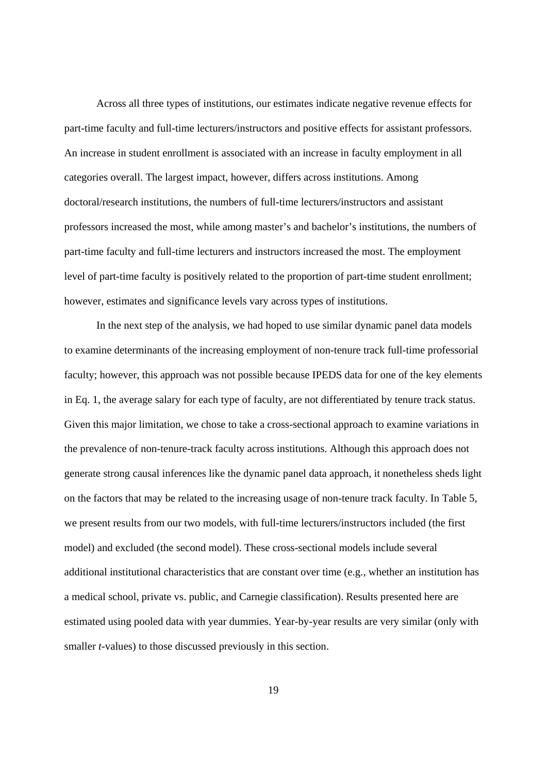Across all three types of institutions, our estimates indicate negative revenue effects for part-time faculty and full-time lecturers/instructors and positive effects for assistant professors. An increase in student enrollment is associated with an increase in faculty employment in all categories overall. The largest impact, however, differs across institutions. Among doctoral/research institutions, the numbers of full-time lecturers/instructors and assistant professors increased the most, while among master's and bachelor's institutions, the numbers of part-time faculty and full-time lecturers and instructors increased the most. The employment level of part-time faculty is positively related to the proportion of part-time student enrollment; however, estimates and significance levels vary across types of institutions.

 In the next step of the analysis, we had hoped to use similar dynamic panel data models to examine determinants of the increasing employment of non-tenure track full-time professorial faculty; however, this approach was not possible because IPEDS data for one of the key elements in Eq. 1, the average salary for each type of faculty, are not differentiated by tenure track status. Given this major limitation, we chose to take a cross-sectional approach to examine variations in the prevalence of non-tenure-track faculty across institutions. Although this approach does not generate strong causal inferences like the dynamic panel data approach, it nonetheless sheds light on the factors that may be related to the increasing usage of non-tenure track faculty. In Table 5, we present results from our two models, with full-time lecturers/instructors included (the first model) and excluded (the second model). These cross-sectional models include several additional institutional characteristics that are constant over time (e.g., whether an institution has a medical school, private vs. public, and Carnegie classification). Results presented here are estimated using pooled data with year dummies. Year-by-year results are very similar (only with smaller *t*-values) to those discussed previously in this section.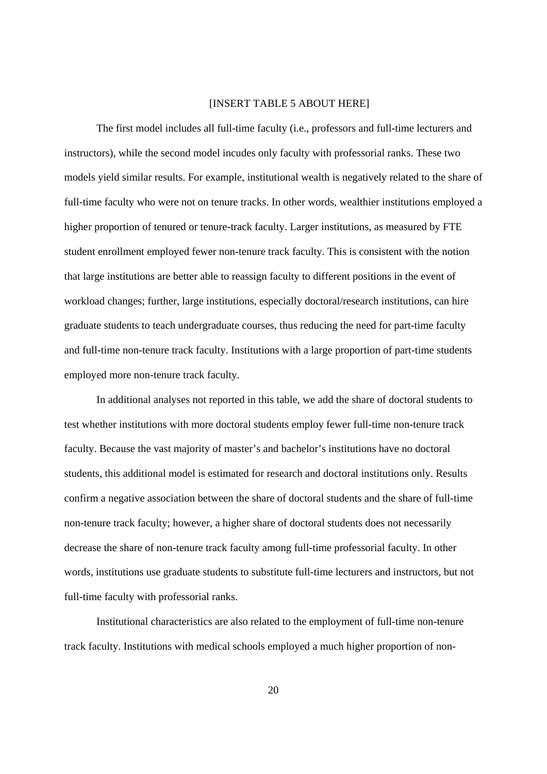#### [INSERT TABLE 5 ABOUT HERE]

 The first model includes all full-time faculty (i.e., professors and full-time lecturers and instructors), while the second model incudes only faculty with professorial ranks. These two models yield similar results. For example, institutional wealth is negatively related to the share of full-time faculty who were not on tenure tracks. In other words, wealthier institutions employed a higher proportion of tenured or tenure-track faculty. Larger institutions, as measured by FTE student enrollment employed fewer non-tenure track faculty. This is consistent with the notion that large institutions are better able to reassign faculty to different positions in the event of workload changes; further, large institutions, especially doctoral/research institutions, can hire graduate students to teach undergraduate courses, thus reducing the need for part-time faculty and full-time non-tenure track faculty. Institutions with a large proportion of part-time students employed more non-tenure track faculty.

In additional analyses not reported in this table, we add the share of doctoral students to test whether institutions with more doctoral students employ fewer full-time non-tenure track faculty. Because the vast majority of master's and bachelor's institutions have no doctoral students, this additional model is estimated for research and doctoral institutions only. Results confirm a negative association between the share of doctoral students and the share of full-time non-tenure track faculty; however, a higher share of doctoral students does not necessarily decrease the share of non-tenure track faculty among full-time professorial faculty. In other words, institutions use graduate students to substitute full-time lecturers and instructors, but not full-time faculty with professorial ranks.

 Institutional characteristics are also related to the employment of full-time non-tenure track faculty. Institutions with medical schools employed a much higher proportion of non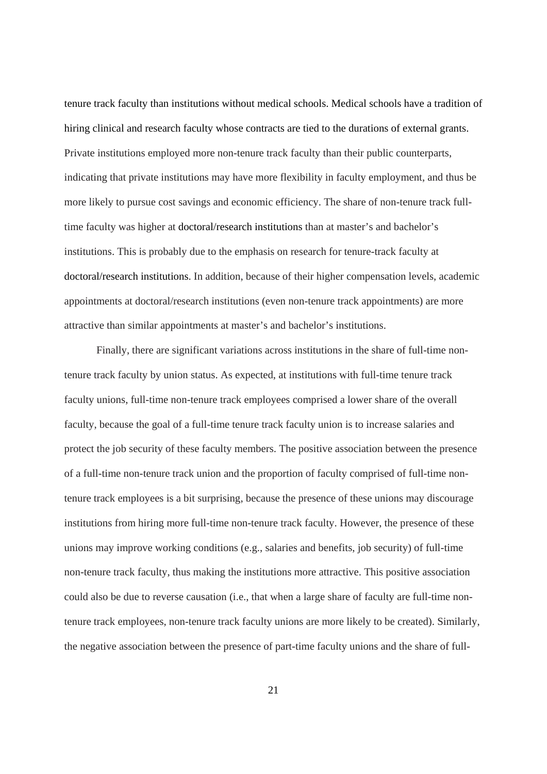tenure track faculty than institutions without medical schools. Medical schools have a tradition of hiring clinical and research faculty whose contracts are tied to the durations of external grants. Private institutions employed more non-tenure track faculty than their public counterparts, indicating that private institutions may have more flexibility in faculty employment, and thus be more likely to pursue cost savings and economic efficiency. The share of non-tenure track fulltime faculty was higher at doctoral/research institutions than at master's and bachelor's institutions. This is probably due to the emphasis on research for tenure-track faculty at doctoral/research institutions. In addition, because of their higher compensation levels, academic appointments at doctoral/research institutions (even non-tenure track appointments) are more attractive than similar appointments at master's and bachelor's institutions.

 Finally, there are significant variations across institutions in the share of full-time nontenure track faculty by union status. As expected, at institutions with full-time tenure track faculty unions, full-time non-tenure track employees comprised a lower share of the overall faculty, because the goal of a full-time tenure track faculty union is to increase salaries and protect the job security of these faculty members. The positive association between the presence of a full-time non-tenure track union and the proportion of faculty comprised of full-time nontenure track employees is a bit surprising, because the presence of these unions may discourage institutions from hiring more full-time non-tenure track faculty. However, the presence of these unions may improve working conditions (e.g., salaries and benefits, job security) of full-time non-tenure track faculty, thus making the institutions more attractive. This positive association could also be due to reverse causation (i.e., that when a large share of faculty are full-time nontenure track employees, non-tenure track faculty unions are more likely to be created). Similarly, the negative association between the presence of part-time faculty unions and the share of full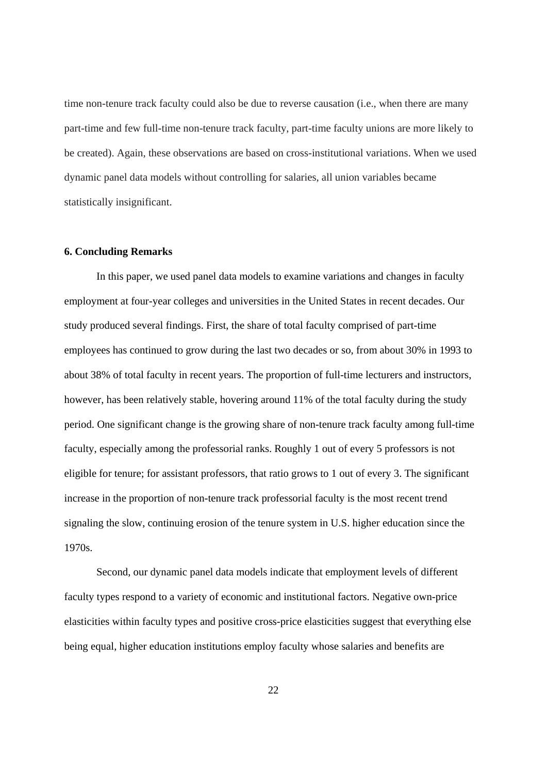time non-tenure track faculty could also be due to reverse causation (i.e., when there are many part-time and few full-time non-tenure track faculty, part-time faculty unions are more likely to be created). Again, these observations are based on cross-institutional variations. When we used dynamic panel data models without controlling for salaries, all union variables became statistically insignificant.

#### **6. Concluding Remarks**

In this paper, we used panel data models to examine variations and changes in faculty employment at four-year colleges and universities in the United States in recent decades. Our study produced several findings. First, the share of total faculty comprised of part-time employees has continued to grow during the last two decades or so, from about 30% in 1993 to about 38% of total faculty in recent years. The proportion of full-time lecturers and instructors, however, has been relatively stable, hovering around 11% of the total faculty during the study period. One significant change is the growing share of non-tenure track faculty among full-time faculty, especially among the professorial ranks. Roughly 1 out of every 5 professors is not eligible for tenure; for assistant professors, that ratio grows to 1 out of every 3. The significant increase in the proportion of non-tenure track professorial faculty is the most recent trend signaling the slow, continuing erosion of the tenure system in U.S. higher education since the 1970s.

Second, our dynamic panel data models indicate that employment levels of different faculty types respond to a variety of economic and institutional factors. Negative own-price elasticities within faculty types and positive cross-price elasticities suggest that everything else being equal, higher education institutions employ faculty whose salaries and benefits are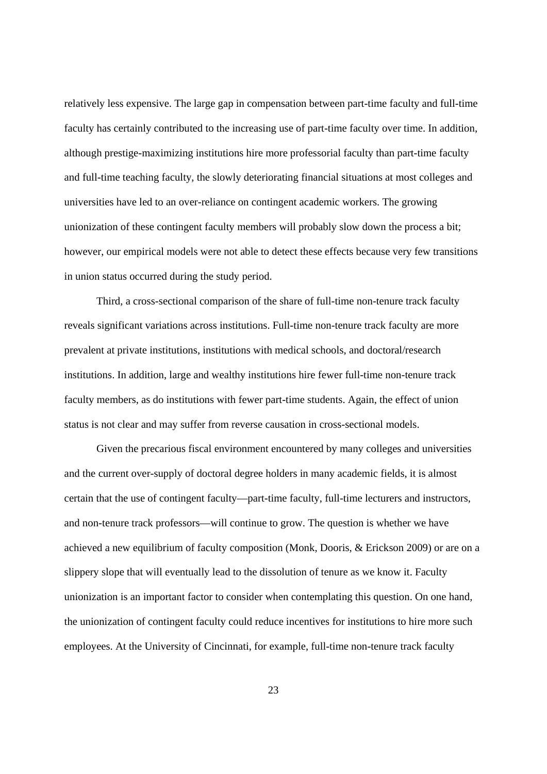relatively less expensive. The large gap in compensation between part-time faculty and full-time faculty has certainly contributed to the increasing use of part-time faculty over time. In addition, although prestige-maximizing institutions hire more professorial faculty than part-time faculty and full-time teaching faculty, the slowly deteriorating financial situations at most colleges and universities have led to an over-reliance on contingent academic workers. The growing unionization of these contingent faculty members will probably slow down the process a bit; however, our empirical models were not able to detect these effects because very few transitions in union status occurred during the study period.

Third, a cross-sectional comparison of the share of full-time non-tenure track faculty reveals significant variations across institutions. Full-time non-tenure track faculty are more prevalent at private institutions, institutions with medical schools, and doctoral/research institutions. In addition, large and wealthy institutions hire fewer full-time non-tenure track faculty members, as do institutions with fewer part-time students. Again, the effect of union status is not clear and may suffer from reverse causation in cross-sectional models.

Given the precarious fiscal environment encountered by many colleges and universities and the current over-supply of doctoral degree holders in many academic fields, it is almost certain that the use of contingent faculty—part-time faculty, full-time lecturers and instructors, and non-tenure track professors—will continue to grow. The question is whether we have achieved a new equilibrium of faculty composition (Monk, Dooris, & Erickson 2009) or are on a slippery slope that will eventually lead to the dissolution of tenure as we know it. Faculty unionization is an important factor to consider when contemplating this question. On one hand, the unionization of contingent faculty could reduce incentives for institutions to hire more such employees. At the University of Cincinnati, for example, full-time non-tenure track faculty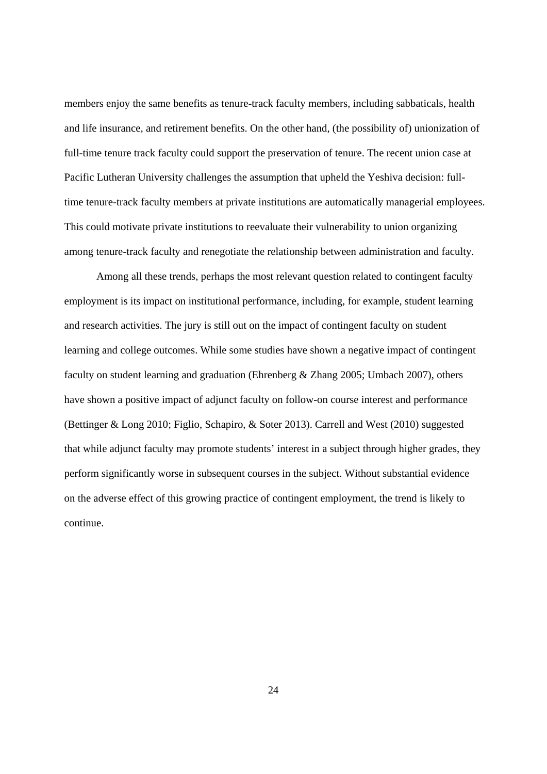members enjoy the same benefits as tenure-track faculty members, including sabbaticals, health and life insurance, and retirement benefits. On the other hand, (the possibility of) unionization of full-time tenure track faculty could support the preservation of tenure. The recent union case at Pacific Lutheran University challenges the assumption that upheld the Yeshiva decision: fulltime tenure-track faculty members at private institutions are automatically managerial employees. This could motivate private institutions to reevaluate their vulnerability to union organizing among tenure-track faculty and renegotiate the relationship between administration and faculty.

Among all these trends, perhaps the most relevant question related to contingent faculty employment is its impact on institutional performance, including, for example, student learning and research activities. The jury is still out on the impact of contingent faculty on student learning and college outcomes. While some studies have shown a negative impact of contingent faculty on student learning and graduation (Ehrenberg & Zhang 2005; Umbach 2007), others have shown a positive impact of adjunct faculty on follow-on course interest and performance (Bettinger & Long 2010; Figlio, Schapiro, & Soter 2013). Carrell and West (2010) suggested that while adjunct faculty may promote students' interest in a subject through higher grades, they perform significantly worse in subsequent courses in the subject. Without substantial evidence on the adverse effect of this growing practice of contingent employment, the trend is likely to continue.

24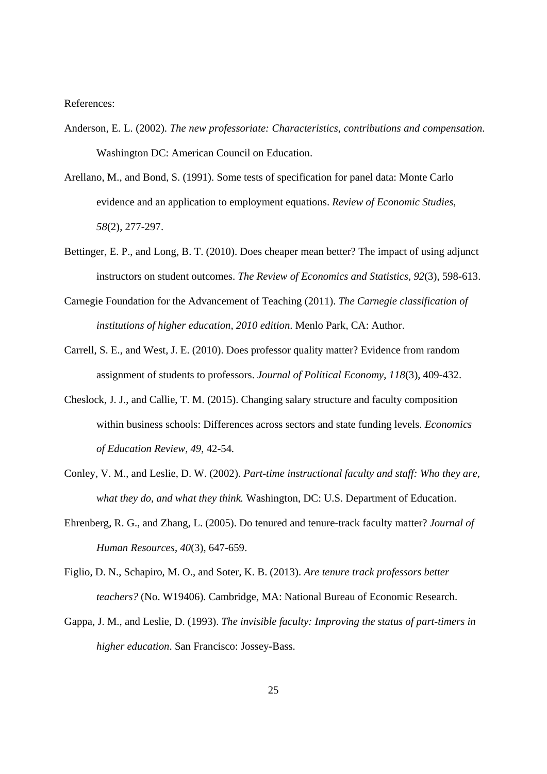References:

- Anderson, E. L. (2002). *The new professoriate: Characteristics, contributions and compensation.*  Washington DC: American Council on Education.
- Arellano, M., and Bond, S. (1991). Some tests of specification for panel data: Monte Carlo evidence and an application to employment equations. *Review of Economic Studies, 58*(2), 277-297.
- Bettinger, E. P., and Long, B. T. (2010). Does cheaper mean better? The impact of using adjunct instructors on student outcomes. *The Review of Economics and Statistics*, *92*(3), 598-613.
- Carnegie Foundation for the Advancement of Teaching (2011). *The Carnegie classification of institutions of higher education, 2010 edition*. Menlo Park, CA: Author.
- Carrell, S. E., and West, J. E. (2010). Does professor quality matter? Evidence from random assignment of students to professors. *Journal of Political Economy*, *118*(3), 409-432.
- Cheslock, J. J., and Callie, T. M. (2015). Changing salary structure and faculty composition within business schools: Differences across sectors and state funding levels. *Economics of Education Review, 49*, 42-54*.*
- Conley, V. M., and Leslie, D. W. (2002). *Part-time instructional faculty and staff: Who they are, what they do, and what they think.* Washington, DC: U.S. Department of Education.
- Ehrenberg, R. G., and Zhang, L. (2005). Do tenured and tenure-track faculty matter? *Journal of Human Resources*, *40*(3), 647-659.
- Figlio, D. N., Schapiro, M. O., and Soter, K. B. (2013). *Are tenure track professors better teachers?* (No. W19406). Cambridge, MA: National Bureau of Economic Research.
- Gappa, J. M., and Leslie, D. (1993). *The invisible faculty: Improving the status of part-timers in higher education*. San Francisco: Jossey-Bass.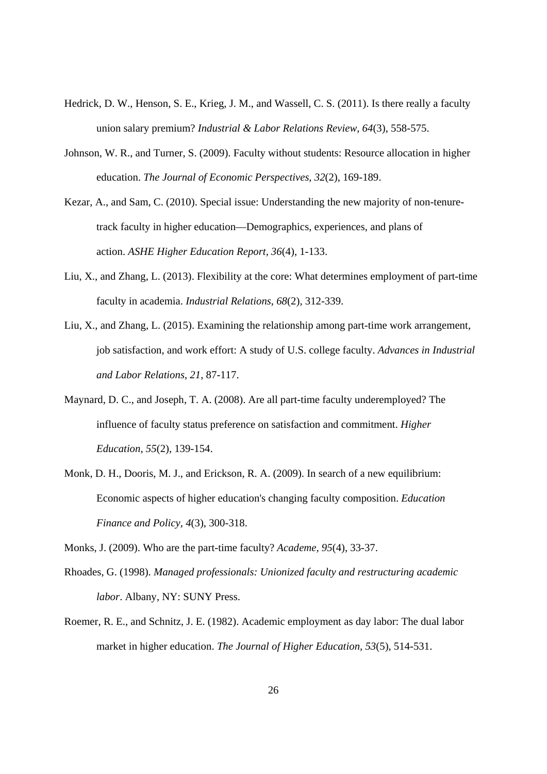- Hedrick, D. W., Henson, S. E., Krieg, J. M., and Wassell, C. S. (2011). Is there really a faculty union salary premium? *Industrial & Labor Relations Review*, *64*(3), 558-575.
- Johnson, W. R., and Turner, S. (2009). Faculty without students: Resource allocation in higher education. *The Journal of Economic Perspectives, 32*(2), 169-189.
- Kezar, A., and Sam, C. (2010). Special issue: Understanding the new majority of non-tenuretrack faculty in higher education—Demographics, experiences, and plans of action. *ASHE Higher Education Report, 36*(4), 1-133.
- Liu, X., and Zhang, L. (2013). Flexibility at the core: What determines employment of part-time faculty in academia. *Industrial Relations*, *68*(2), 312-339.
- Liu, X., and Zhang, L. (2015). Examining the relationship among part-time work arrangement, job satisfaction, and work effort: A study of U.S. college faculty. *Advances in Industrial and Labor Relations*, *21*, 87-117.
- Maynard, D. C., and Joseph, T. A. (2008). Are all part-time faculty underemployed? The influence of faculty status preference on satisfaction and commitment. *Higher Education*, *55*(2), 139-154.
- Monk, D. H., Dooris, M. J., and Erickson, R. A. (2009). In search of a new equilibrium: Economic aspects of higher education's changing faculty composition. *Education Finance and Policy*, *4*(3), 300-318.
- Monks, J. (2009). Who are the part-time faculty? *Academe, 95*(4), 33-37.
- Rhoades, G. (1998). *Managed professionals: Unionized faculty and restructuring academic labor*. Albany, NY: SUNY Press.
- Roemer, R. E., and Schnitz, J. E. (1982). Academic employment as day labor: The dual labor market in higher education. *The Journal of Higher Education, 53*(5), 514-531.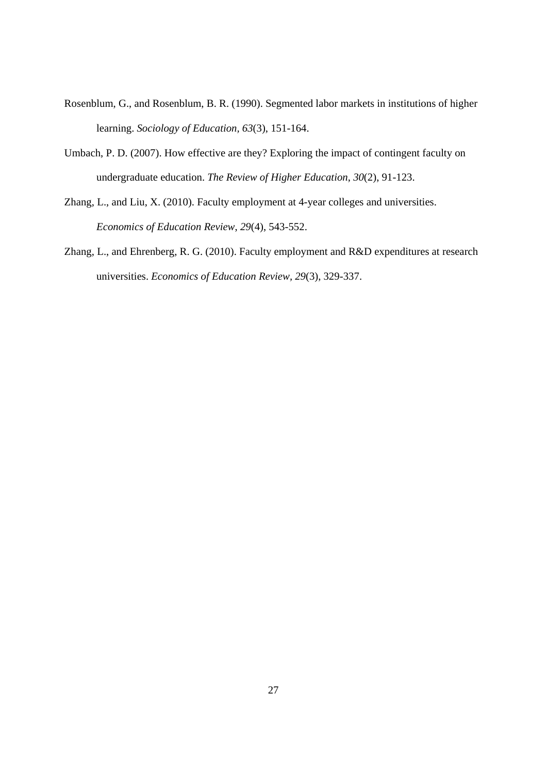- Rosenblum, G., and Rosenblum, B. R. (1990). Segmented labor markets in institutions of higher learning. *Sociology of Education, 63*(3), 151-164.
- Umbach, P. D. (2007). How effective are they? Exploring the impact of contingent faculty on undergraduate education. *The Review of Higher Education*, *30*(2), 91-123.
- Zhang, L., and Liu, X. (2010). Faculty employment at 4-year colleges and universities. *Economics of Education Review*, *29*(4), 543-552.
- Zhang, L., and Ehrenberg, R. G. (2010). Faculty employment and R&D expenditures at research universities. *Economics of Education Review, 29*(3), 329-337.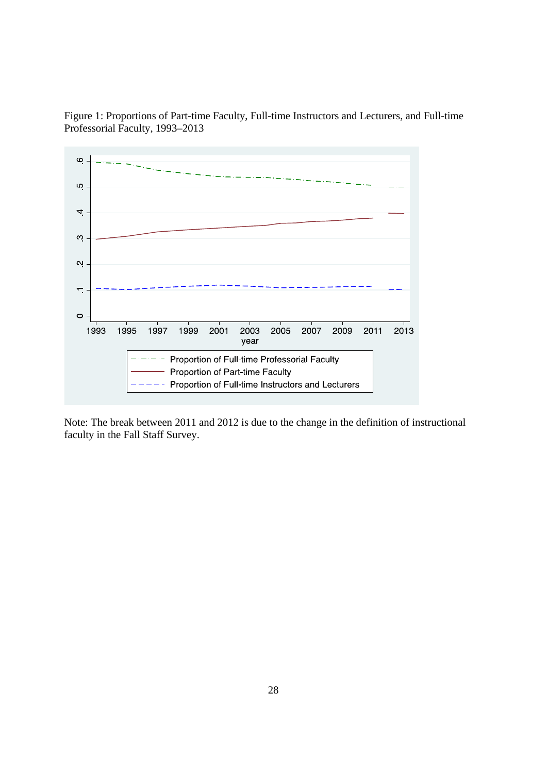Figure 1: Proportions of Part-time Faculty, Full-time Instructors and Lecturers, and Full-time Professorial Faculty, 1993–2013



Note: The break between 2011 and 2012 is due to the change in the definition of instructional faculty in the Fall Staff Survey.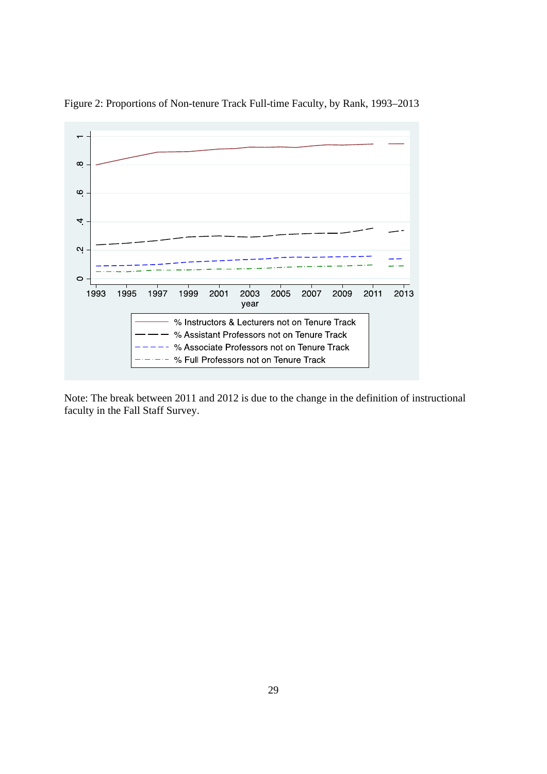

Figure 2: Proportions of Non-tenure Track Full-time Faculty, by Rank, 1993–2013

Note: The break between 2011 and 2012 is due to the change in the definition of instructional faculty in the Fall Staff Survey.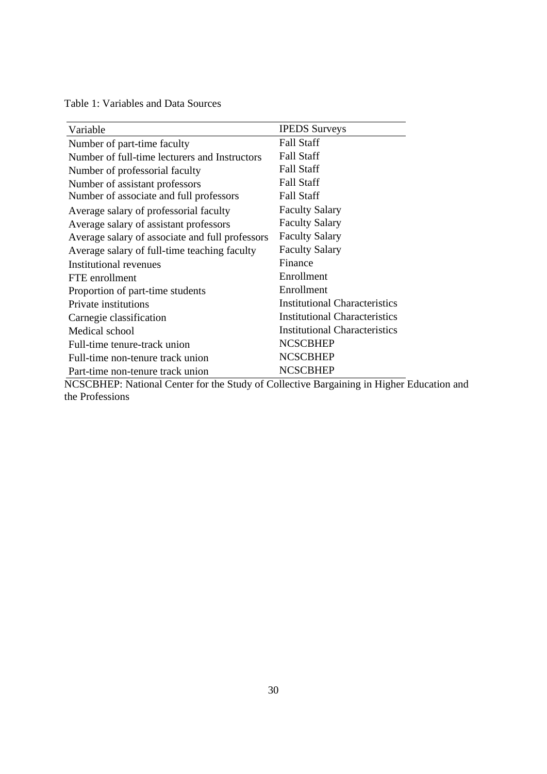Table 1: Variables and Data Sources

| Variable                                        | <b>IPEDS</b> Surveys                 |
|-------------------------------------------------|--------------------------------------|
| Number of part-time faculty                     | <b>Fall Staff</b>                    |
| Number of full-time lecturers and Instructors   | <b>Fall Staff</b>                    |
| Number of professorial faculty                  | <b>Fall Staff</b>                    |
| Number of assistant professors                  | <b>Fall Staff</b>                    |
| Number of associate and full professors         | <b>Fall Staff</b>                    |
| Average salary of professorial faculty          | <b>Faculty Salary</b>                |
| Average salary of assistant professors          | <b>Faculty Salary</b>                |
| Average salary of associate and full professors | <b>Faculty Salary</b>                |
| Average salary of full-time teaching faculty    | <b>Faculty Salary</b>                |
| Institutional revenues                          | Finance                              |
| FTE enrollment                                  | Enrollment                           |
| Proportion of part-time students                | Enrollment                           |
| Private institutions                            | <b>Institutional Characteristics</b> |
| Carnegie classification                         | <b>Institutional Characteristics</b> |
| Medical school                                  | <b>Institutional Characteristics</b> |
| Full-time tenure-track union                    | <b>NCSCBHEP</b>                      |
| Full-time non-tenure track union                | <b>NCSCBHEP</b>                      |
| Part-time non-tenure track union                | <b>NCSCBHEP</b>                      |

NCSCBHEP: National Center for the Study of Collective Bargaining in Higher Education and the Professions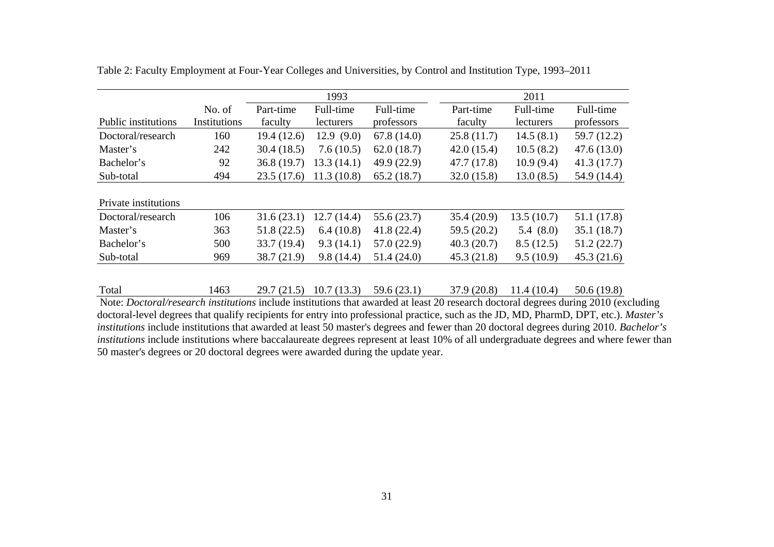|                      |              | 1993        |             |             | 2011        |                  |             |
|----------------------|--------------|-------------|-------------|-------------|-------------|------------------|-------------|
|                      | No. of       | Part-time   | Full-time   | Full-time   | Part-time   | Full-time        | Full-time   |
| Public institutions  | Institutions | faculty     | lecturers   | professors  | faculty     | <b>lecturers</b> | professors  |
| Doctoral/research    | 160          | 19.4(12.6)  | 12.9(9.0)   | 67.8(14.0)  | 25.8(11.7)  | 14.5(8.1)        | 59.7 (12.2) |
| Master's             | 242          | 30.4(18.5)  | 7.6(10.5)   | 62.0(18.7)  | 42.0(15.4)  | 10.5(8.2)        | 47.6(13.0)  |
| Bachelor's           | 92           | 36.8(19.7)  | 13.3(14.1)  | 49.9 (22.9) | 47.7 (17.8) | 10.9(9.4)        | 41.3(17.7)  |
| Sub-total            | 494          | 23.5(17.6)  | 11.3(10.8)  | 65.2(18.7)  | 32.0(15.8)  | 13.0(8.5)        | 54.9 (14.4) |
|                      |              |             |             |             |             |                  |             |
| Private institutions |              |             |             |             |             |                  |             |
| Doctoral/research    | 106          | 31.6(23.1)  | 12.7 (14.4) | 55.6(23.7)  | 35.4 (20.9) | 13.5(10.7)       | 51.1 (17.8) |
| Master's             | 363          | 51.8(22.5)  | 6.4(10.8)   | 41.8(22.4)  | 59.5 (20.2) | 5.4(8.0)         | 35.1(18.7)  |
| Bachelor's           | 500          | 33.7 (19.4) | 9.3(14.1)   | 57.0(22.9)  | 40.3(20.7)  | 8.5(12.5)        | 51.2(22.7)  |
| Sub-total            | 969          | 38.7(21.9)  | 9.8(14.4)   | 51.4 (24.0) | 45.3(21.8)  | 9.5(10.9)        | 45.3(21.6)  |
|                      |              |             |             |             |             |                  |             |

Table 2: Faculty Employment at Four-Year Colleges and Universities, by Control and Institution Type, 1993–2011

#### Total 1463 29.7 (21.5) 10.7 (13.3) 59.6 (23.1) 37.9 (20.8) 11.4 (10.4) 50.6 (19.8)

 Note: *Doctoral/research institutions* include institutions that awarded at least 20 research doctoral degrees during 2010 (excluding doctoral-level degrees that qualify recipients for entry into professional practice, such as the JD, MD, PharmD, DPT, etc.). *Master's institutions* include institutions that awarded at least 50 master's degrees and fewer than 20 doctoral degrees during 2010. *Bachelor's institutions* include institutions where baccalaureate degrees represent at least 10% of all undergraduate degrees and where fewer than 50 master's degrees or 20 doctoral degrees were awarded during the update year.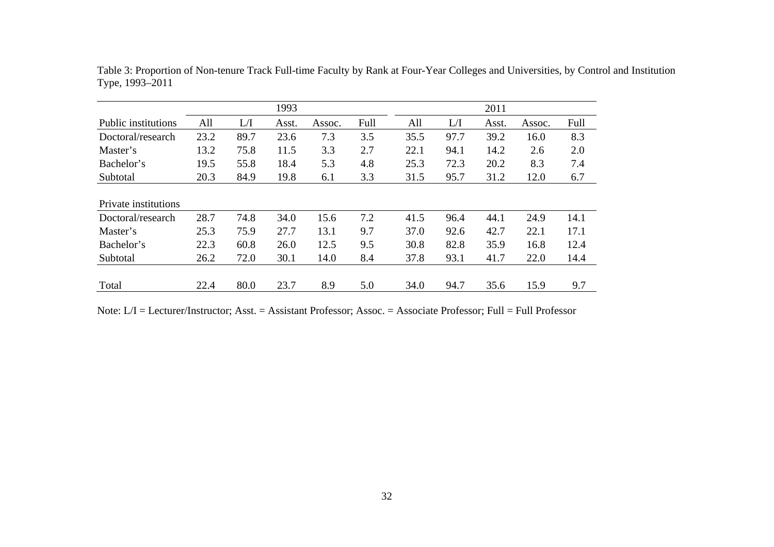|                      |      |      | 1993  |        |      |      |      | 2011  |        |      |
|----------------------|------|------|-------|--------|------|------|------|-------|--------|------|
| Public institutions  | All  | L/I  | Asst. | Assoc. | Full | All  | L/I  | Asst. | Assoc. | Full |
| Doctoral/research    | 23.2 | 89.7 | 23.6  | 7.3    | 3.5  | 35.5 | 97.7 | 39.2  | 16.0   | 8.3  |
| Master's             | 13.2 | 75.8 | 11.5  | 3.3    | 2.7  | 22.1 | 94.1 | 14.2  | 2.6    | 2.0  |
| Bachelor's           | 19.5 | 55.8 | 18.4  | 5.3    | 4.8  | 25.3 | 72.3 | 20.2  | 8.3    | 7.4  |
| Subtotal             | 20.3 | 84.9 | 19.8  | 6.1    | 3.3  | 31.5 | 95.7 | 31.2  | 12.0   | 6.7  |
| Private institutions |      |      |       |        |      |      |      |       |        |      |
| Doctoral/research    | 28.7 | 74.8 | 34.0  | 15.6   | 7.2  | 41.5 | 96.4 | 44.1  | 24.9   | 14.1 |
| Master's             | 25.3 | 75.9 | 27.7  | 13.1   | 9.7  | 37.0 | 92.6 | 42.7  | 22.1   | 17.1 |
| Bachelor's           | 22.3 | 60.8 | 26.0  | 12.5   | 9.5  | 30.8 | 82.8 | 35.9  | 16.8   | 12.4 |
| Subtotal             | 26.2 | 72.0 | 30.1  | 14.0   | 8.4  | 37.8 | 93.1 | 41.7  | 22.0   | 14.4 |
|                      |      |      |       |        |      |      |      |       |        |      |
| Total                | 22.4 | 80.0 | 23.7  | 8.9    | 5.0  | 34.0 | 94.7 | 35.6  | 15.9   | 9.7  |

Table 3: Proportion of Non-tenure Track Full-time Faculty by Rank at Four-Year Colleges and Universities, by Control and Institution Type, 1993–2011

Note: L/I = Lecturer/Instructor; Asst. = Assistant Professor; Assoc. = Associate Professor; Full = Full Professor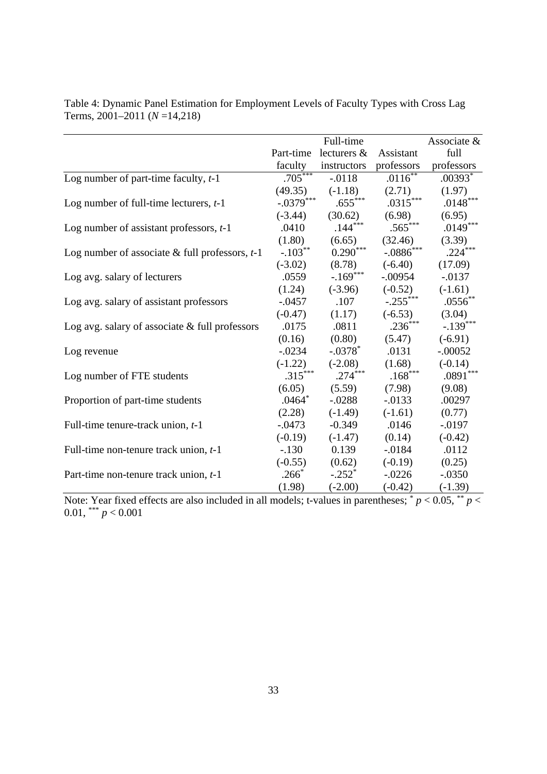|                                                    |             | Full-time            |                 | Associate & |
|----------------------------------------------------|-------------|----------------------|-----------------|-------------|
|                                                    | Part-time   | lecturers &          | Assistant       | full        |
|                                                    | faculty     | instructors          | professors      | professors  |
| Log number of part-time faculty, $t-1$             | $.705***$   | $-.0118$             | .0116**         | $.00393*$   |
|                                                    | (49.35)     | $(-1.18)$            | (2.71)          | (1.97)      |
| Log number of full-time lecturers, $t-1$           | $-.0379***$ | $.655***$            | $.0315***$      | $.0148***$  |
|                                                    | $(-3.44)$   | (30.62)              | (6.98)          | (6.95)      |
| Log number of assistant professors, $t-1$          | .0410       | $.144***$            | $.565***$       | $.0149***$  |
|                                                    | (1.80)      | (6.65)               | (32.46)         | (3.39)      |
| Log number of associate $&$ full professors, $t-1$ | $-.103***$  | $0.290***$           | $-0886^{***}\,$ | $.224***$   |
|                                                    | $(-3.02)$   | (8.78)               | $(-6.40)$       | (17.09)     |
| Log avg. salary of lecturers                       | .0559       | $-.169***$           | $-.00954$       | $-0.0137$   |
|                                                    | (1.24)      | $(-3.96)$            | $(-0.52)$       | $(-1.61)$   |
| Log avg. salary of assistant professors            | $-.0457$    | .107                 | $-.255***$      | $.0556**$   |
|                                                    | $(-0.47)$   | (1.17)               | $(-6.53)$       | (3.04)      |
| Log avg. salary of associate & full professors     | .0175       | .0811                | .236***         | $-.139***$  |
|                                                    | (0.16)      | (0.80)               | (5.47)          | $(-6.91)$   |
| Log revenue                                        | $-.0234$    | $-.0378*$            | .0131           | $-.00052$   |
|                                                    | $(-1.22)$   | $(-2.08)$            | (1.68)          | $(-0.14)$   |
| Log number of FTE students                         | $.315***$   | $.274***$            | $.168***$       | $.0891***$  |
|                                                    | (6.05)      | (5.59)               | (7.98)          | (9.08)      |
| Proportion of part-time students                   | $.0464*$    | $-.0288$             | $-0.0133$       | .00297      |
|                                                    | (2.28)      | $(-1.49)$            | $(-1.61)$       | (0.77)      |
| Full-time tenure-track union, $t-1$                | $-0.0473$   | $-0.349$             | .0146           | $-.0197$    |
|                                                    | $(-0.19)$   | $(-1.47)$            | (0.14)          | $(-0.42)$   |
| Full-time non-tenure track union, $t-1$            | $-.130$     | 0.139                | $-0.0184$       | .0112       |
|                                                    | $(-0.55)$   | (0.62)               | $(-0.19)$       | (0.25)      |
| Part-time non-tenure track union, t-1              | $.266*$     | $-.252$ <sup>*</sup> | $-0.0226$       | $-.0350$    |
|                                                    | (1.98)      | $(-2.00)$            | $(-0.42)$       | $(-1.39)$   |

Table 4: Dynamic Panel Estimation for Employment Levels of Faculty Types with Cross Lag Terms, 2001–2011 (*N* =14,218)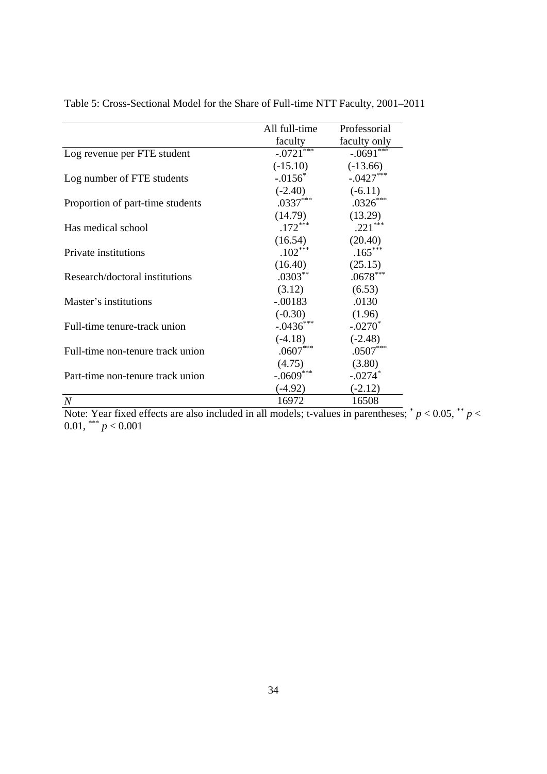|                                  | All full-time | Professorial |
|----------------------------------|---------------|--------------|
|                                  | faculty       | faculty only |
| Log revenue per FTE student      | $-.0721***$   | $-.0691***$  |
|                                  | $(-15.10)$    | $(-13.66)$   |
| Log number of FTE students       | $-.0156*$     | $-.0427***$  |
|                                  | $(-2.40)$     | $(-6.11)$    |
| Proportion of part-time students | $.0337***$    | $.0326***$   |
|                                  | (14.79)       | (13.29)      |
| Has medical school               | $.172***$     | $.221***$    |
|                                  | (16.54)       | (20.40)      |
| Private institutions             | $.102***$     | $.165***$    |
|                                  | (16.40)       | (25.15)      |
| Research/doctoral institutions   | $.0303***$    | $.0678***$   |
|                                  | (3.12)        | (6.53)       |
| Master's institutions            | $-.00183$     | .0130        |
|                                  | $(-0.30)$     | (1.96)       |
| Full-time tenure-track union     | $-.0436***$   | $-.0270*$    |
|                                  | $(-4.18)$     | $(-2.48)$    |
| Full-time non-tenure track union | $.0607***$    | $.0507***$   |
|                                  | (4.75)        | (3.80)       |
| Part-time non-tenure track union | $-.0609***$   | $-.0274*$    |
|                                  | $(-4.92)$     | $(-2.12)$    |
| $\boldsymbol{N}$                 | 16972         | 16508        |

Table 5: Cross-Sectional Model for the Share of Full-time NTT Faculty, 2001–2011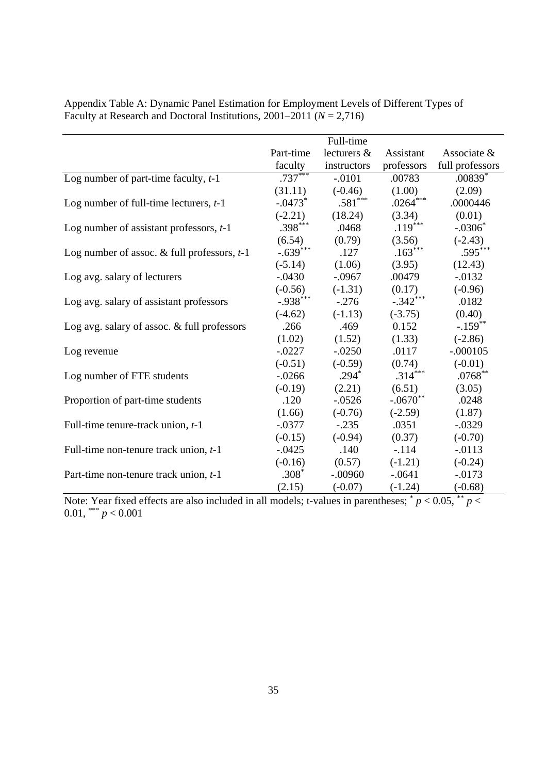|                                                 |            | Full-time   |            |                 |
|-------------------------------------------------|------------|-------------|------------|-----------------|
|                                                 | Part-time  | lecturers & | Assistant  | Associate &     |
|                                                 | faculty    | instructors | professors | full professors |
| Log number of part-time faculty, $t-1$          | $.737***$  | $-.0101$    | .00783     | $.00839*$       |
|                                                 | (31.11)    | $(-0.46)$   | (1.00)     | (2.09)          |
| Log number of full-time lecturers, $t-1$        | $-.0473*$  | $.581***$   | $.0264***$ | .0000446        |
|                                                 | $(-2.21)$  | (18.24)     | (3.34)     | (0.01)          |
| Log number of assistant professors, $t-1$       | $.398***$  | .0468       | $.119***$  | $-.0306*$       |
|                                                 | (6.54)     | (0.79)      | (3.56)     | $(-2.43)$       |
| Log number of assoc. $&$ full professors, $t-1$ | $-.639***$ | .127        | $.163***$  | $.595***$       |
|                                                 | $(-5.14)$  | (1.06)      | (3.95)     | (12.43)         |
| Log avg. salary of lecturers                    | $-0.0430$  | $-.0967$    | .00479     | $-0.0132$       |
|                                                 | $(-0.56)$  | $(-1.31)$   | (0.17)     | $(-0.96)$       |
| Log avg. salary of assistant professors         | $-.938***$ | $-.276$     | $-.342***$ | .0182           |
|                                                 | $(-4.62)$  | $(-1.13)$   | $(-3.75)$  | (0.40)          |
| Log avg. salary of assoc. & full professors     | .266       | .469        | 0.152      | $-.159$ **      |
|                                                 | (1.02)     | (1.52)      | (1.33)     | $(-2.86)$       |
| Log revenue                                     | $-0.0227$  | $-.0250$    | .0117      | $-.000105$      |
|                                                 | $(-0.51)$  | $(-0.59)$   | (0.74)     | $(-0.01)$       |
| Log number of FTE students                      | $-0.0266$  | $.294*$     | $.314***$  | $.0768***$      |
|                                                 | $(-0.19)$  | (2.21)      | (6.51)     | (3.05)          |
| Proportion of part-time students                | .120       | $-0.0526$   | $-.0670**$ | .0248           |
|                                                 | (1.66)     | $(-0.76)$   | $(-2.59)$  | (1.87)          |
| Full-time tenure-track union, $t-1$             | $-.0377$   | $-.235$     | .0351      | $-.0329$        |
|                                                 | $(-0.15)$  | $(-0.94)$   | (0.37)     | $(-0.70)$       |
| Full-time non-tenure track union, $t-1$         | $-.0425$   | .140        | $-.114$    | $-0.0113$       |
|                                                 | $(-0.16)$  | (0.57)      | $(-1.21)$  | $(-0.24)$       |
| Part-time non-tenure track union, t-1           | $.308*$    | $-.00960$   | $-.0641$   | $-0.0173$       |
|                                                 | (2.15)     | $(-0.07)$   | $(-1.24)$  | $(-0.68)$       |

Appendix Table A: Dynamic Panel Estimation for Employment Levels of Different Types of Faculty at Research and Doctoral Institutions,  $2001-2011(N = 2,716)$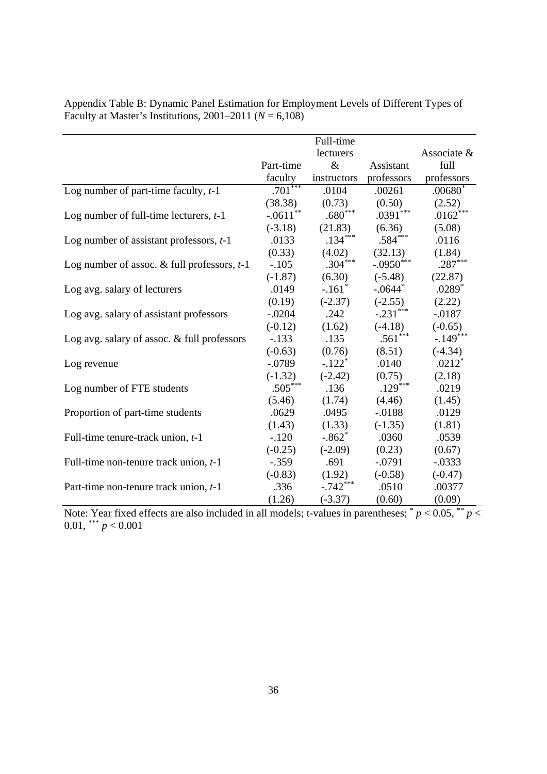|                                                 |            | Full-time            |             |             |
|-------------------------------------------------|------------|----------------------|-------------|-------------|
|                                                 |            | lecturers            |             | Associate & |
|                                                 | Part-time  | $\&$                 | Assistant   | full        |
|                                                 | faculty    | instructors          | professors  | professors  |
| Log number of part-time faculty, $t-1$          | $.701$ *** | .0104                | .00261      | $.00680*$   |
|                                                 | (38.38)    | (0.73)               | (0.50)      | (2.52)      |
| Log number of full-time lecturers, $t-1$        | $-.0611**$ | $.680***$            | $.0391***$  | $.0162***$  |
|                                                 | $(-3.18)$  | (21.83)              | (6.36)      | (5.08)      |
| Log number of assistant professors, $t-1$       | .0133      | $.134***$            | $.584***$   | .0116       |
|                                                 | (0.33)     | (4.02)               | (32.13)     | (1.84)      |
| Log number of assoc. $&$ full professors, $t-1$ | $-.105$    | $.304***$            | $-.0950***$ | $.287***$   |
|                                                 | $(-1.87)$  | (6.30)               | $(-5.48)$   | (22.87)     |
| Log avg. salary of lecturers                    | .0149      | $-.161$ <sup>*</sup> | $-.0644*$   | $.0289*$    |
|                                                 | (0.19)     | $(-2.37)$            | $(-2.55)$   | (2.22)      |
| Log avg. salary of assistant professors         | $-.0204$   | .242                 | $-.231***$  | $-.0187$    |
|                                                 | $(-0.12)$  | (1.62)               | $(-4.18)$   | $(-0.65)$   |
| Log avg. salary of assoc. $&$ full professors   | $-.133$    | .135                 | $.561***$   | $-.149***$  |
|                                                 | $(-0.63)$  | (0.76)               | (8.51)      | $(-4.34)$   |
| Log revenue                                     | $-.0789$   | $-.122*$             | .0140       | $.0212*$    |
|                                                 | $(-1.32)$  | $(-2.42)$            | (0.75)      | (2.18)      |
| Log number of FTE students                      | $.505***$  | .136                 | $.129***$   | .0219       |
|                                                 | (5.46)     | (1.74)               | (4.46)      | (1.45)      |
| Proportion of part-time students                | .0629      | .0495                | $-.0188$    | .0129       |
|                                                 | (1.43)     | (1.33)               | $(-1.35)$   | (1.81)      |
| Full-time tenure-track union, $t-1$             | $-.120$    | $-.862*$             | .0360       | .0539       |
|                                                 | $(-0.25)$  | $(-2.09)$            | (0.23)      | (0.67)      |
| Full-time non-tenure track union, $t-1$         | $-.359$    | .691                 | $-.0791$    | $-.0333$    |
|                                                 | $(-0.83)$  | (1.92)               | $(-0.58)$   | $(-0.47)$   |
| Part-time non-tenure track union, t-1           | .336       | $-.742***$           | .0510       | .00377      |
|                                                 | (1.26)     | $(-3.37)$            | (0.60)      | (0.09)      |

Appendix Table B: Dynamic Panel Estimation for Employment Levels of Different Types of Faculty at Master's Institutions, 2001–2011 ( $N = 6,108$ )